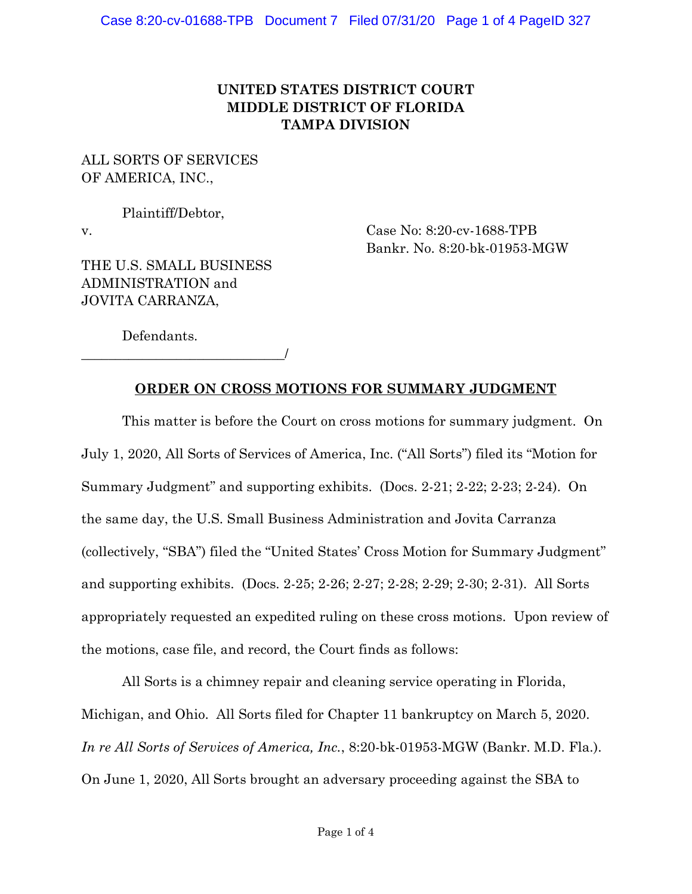### **UNITED STATES DISTRICT COURT MIDDLE DISTRICT OF FLORIDA TAMPA DIVISION**

### ALL SORTS OF SERVICES OF AMERICA, INC.,

Plaintiff/Debtor,

v. Case No: 8:20-cv-1688-TPB Bankr. No. 8:20-bk-01953-MGW

THE U.S. SMALL BUSINESS ADMINISTRATION and JOVITA CARRANZA,

\_\_\_\_\_\_\_\_\_\_\_\_\_\_\_\_\_\_\_\_\_\_\_\_\_\_\_\_\_\_/

Defendants.

### **ORDER ON CROSS MOTIONS FOR SUMMARY JUDGMENT**

This matter is before the Court on cross motions for summary judgment. On July 1, 2020, All Sorts of Services of America, Inc. ("All Sorts") filed its "Motion for Summary Judgment" and supporting exhibits. (Docs. 2-21; 2-22; 2-23; 2-24). On the same day, the U.S. Small Business Administration and Jovita Carranza (collectively, "SBA") filed the "United States' Cross Motion for Summary Judgment" and supporting exhibits. (Docs. 2-25; 2-26; 2-27; 2-28; 2-29; 2-30; 2-31). All Sorts appropriately requested an expedited ruling on these cross motions. Upon review of the motions, case file, and record, the Court finds as follows:

All Sorts is a chimney repair and cleaning service operating in Florida, Michigan, and Ohio. All Sorts filed for Chapter 11 bankruptcy on March 5, 2020. *In re All Sorts of Services of America, Inc.*, 8:20-bk-01953-MGW (Bankr. M.D. Fla.). On June 1, 2020, All Sorts brought an adversary proceeding against the SBA to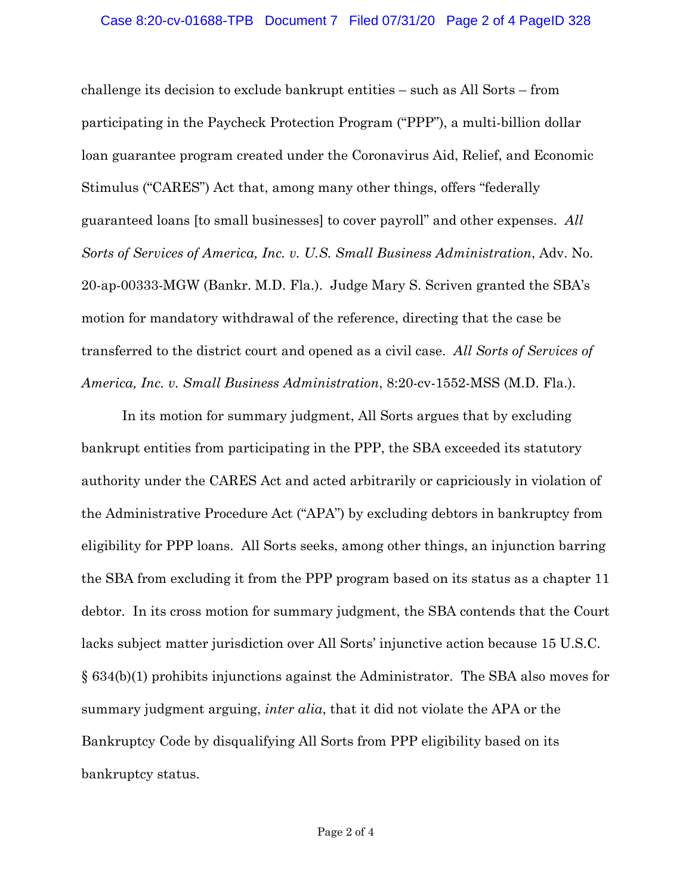challenge its decision to exclude bankrupt entities – such as All Sorts – from participating in the Paycheck Protection Program ("PPP"), a multi-billion dollar loan guarantee program created under the Coronavirus Aid, Relief, and Economic Stimulus ("CARES") Act that, among many other things, offers "federally guaranteed loans [to small businesses] to cover payroll" and other expenses. *All Sorts of Services of America, Inc. v. U.S. Small Business Administration*, Adv. No. 20-ap-00333-MGW (Bankr. M.D. Fla.). Judge Mary S. Scriven granted the SBA's motion for mandatory withdrawal of the reference, directing that the case be transferred to the district court and opened as a civil case. *All Sorts of Services of America, Inc. v. Small Business Administration*, 8:20-cv-1552-MSS (M.D. Fla.).

In its motion for summary judgment, All Sorts argues that by excluding bankrupt entities from participating in the PPP, the SBA exceeded its statutory authority under the CARES Act and acted arbitrarily or capriciously in violation of the Administrative Procedure Act ("APA") by excluding debtors in bankruptcy from eligibility for PPP loans. All Sorts seeks, among other things, an injunction barring the SBA from excluding it from the PPP program based on its status as a chapter 11 debtor. In its cross motion for summary judgment, the SBA contends that the Court lacks subject matter jurisdiction over All Sorts' injunctive action because 15 U.S.C. § 634(b)(1) prohibits injunctions against the Administrator. The SBA also moves for summary judgment arguing, *inter alia*, that it did not violate the APA or the Bankruptcy Code by disqualifying All Sorts from PPP eligibility based on its bankruptcy status.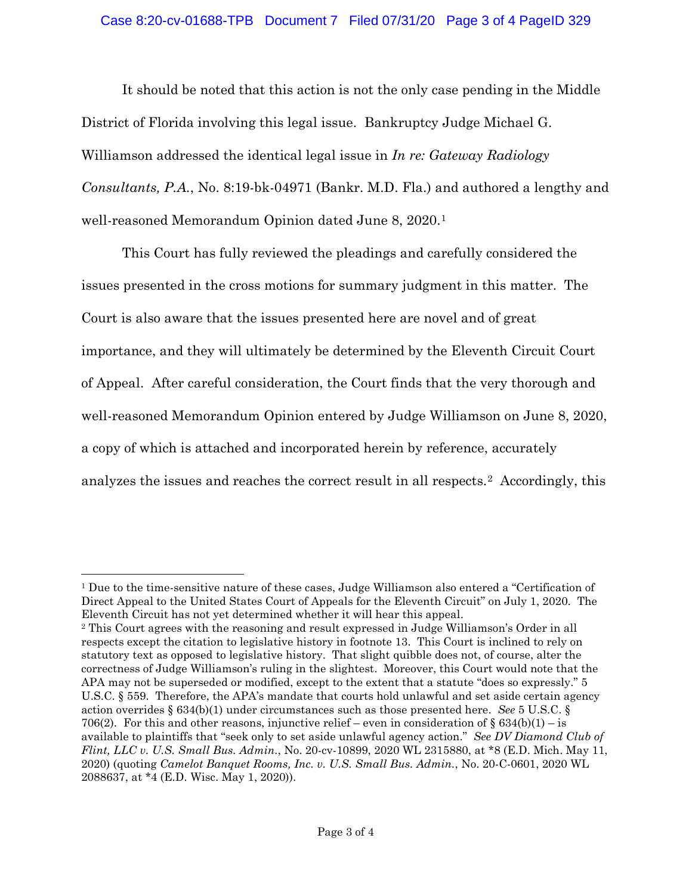#### Case 8:20-cv-01688-TPB Document 7 Filed 07/31/20 Page 3 of 4 PageID 329

It should be noted that this action is not the only case pending in the Middle District of Florida involving this legal issue. Bankruptcy Judge Michael G. Williamson addressed the identical legal issue in *In re: Gateway Radiology Consultants, P.A.*, No. 8:19-bk-04971 (Bankr. M.D. Fla.) and authored a lengthy and well-reasoned Memorandum Opinion dated June 8, 2020.1

This Court has fully reviewed the pleadings and carefully considered the issues presented in the cross motions for summary judgment in this matter. The Court is also aware that the issues presented here are novel and of great importance, and they will ultimately be determined by the Eleventh Circuit Court of Appeal. After careful consideration, the Court finds that the very thorough and well-reasoned Memorandum Opinion entered by Judge Williamson on June 8, 2020, a copy of which is attached and incorporated herein by reference, accurately analyzes the issues and reaches the correct result in all respects.2 Accordingly, this

<sup>1</sup> Due to the time-sensitive nature of these cases, Judge Williamson also entered a "Certification of Direct Appeal to the United States Court of Appeals for the Eleventh Circuit" on July 1, 2020. The Eleventh Circuit has not yet determined whether it will hear this appeal.

<sup>2</sup> This Court agrees with the reasoning and result expressed in Judge Williamson's Order in all respects except the citation to legislative history in footnote 13. This Court is inclined to rely on statutory text as opposed to legislative history. That slight quibble does not, of course, alter the correctness of Judge Williamson's ruling in the slightest. Moreover, this Court would note that the APA may not be superseded or modified, except to the extent that a statute "does so expressly." 5 U.S.C. § 559. Therefore, the APA's mandate that courts hold unlawful and set aside certain agency action overrides § 634(b)(1) under circumstances such as those presented here. *See* 5 U.S.C. § 706(2). For this and other reasons, injunctive relief – even in consideration of § 634(b)(1) – is available to plaintiffs that "seek only to set aside unlawful agency action." *See DV Diamond Club of Flint, LLC v. U.S. Small Bus. Admin.*, No. 20-cv-10899, 2020 WL 2315880, at \*8 (E.D. Mich. May 11, 2020) (quoting *Camelot Banquet Rooms, Inc. v. U.S. Small Bus. Admin.*, No. 20-C-0601, 2020 WL 2088637, at \*4 (E.D. Wisc. May 1, 2020)).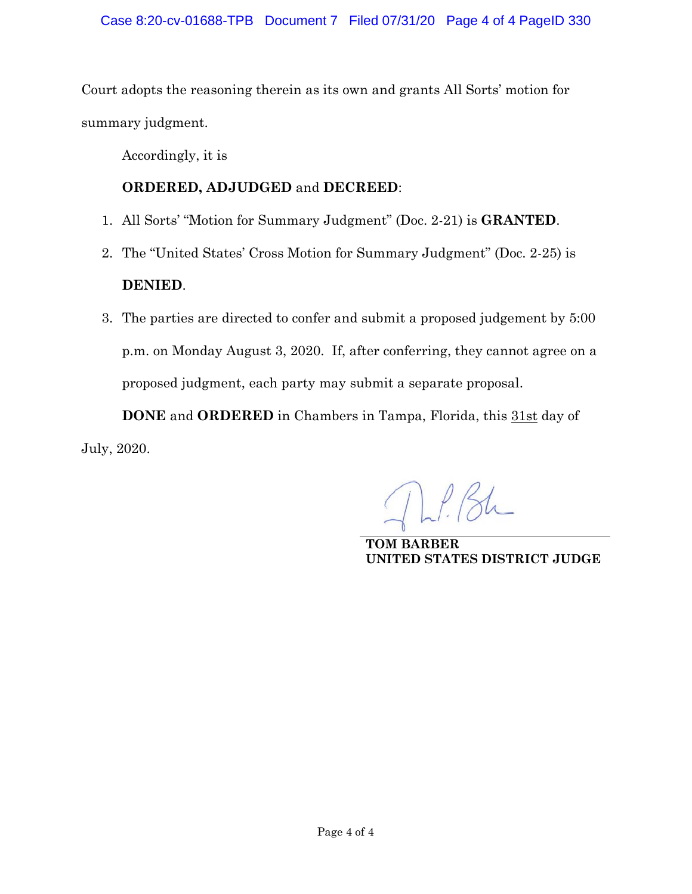Court adopts the reasoning therein as its own and grants All Sorts' motion for summary judgment.

Accordingly, it is

### **ORDERED, ADJUDGED** and **DECREED**:

- 1. All Sorts' "Motion for Summary Judgment" (Doc. 2-21) is **GRANTED**.
- 2. The "United States' Cross Motion for Summary Judgment" (Doc. 2-25) is **DENIED**.
- 3. The parties are directed to confer and submit a proposed judgement by 5:00 p.m. on Monday August 3, 2020. If, after conferring, they cannot agree on a proposed judgment, each party may submit a separate proposal.

**DONE** and **ORDERED** in Chambers in Tampa, Florida, this 31st day of July, 2020.

 $\lfloor f \rfloor / 84$ 

**TOM BARBER UNITED STATES DISTRICT JUDGE**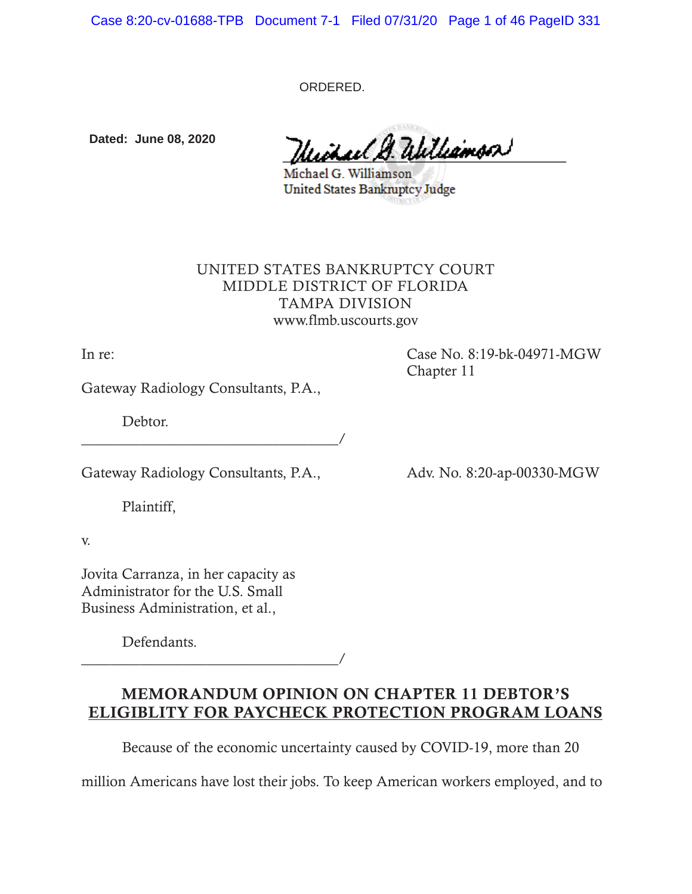Case 8:20-cv-01688-TPB Document 7-1 Filed 07/31/20 Page 1 of 46 PageID 331

ORDERED.

**Dated: June 08, 2020**

alithamson

Michael G. Williamson **United States Bankruptcy Judge** 

### UNITED STATES BANKRUPTCY COURT MIDDLE DISTRICT OF FLORIDA TAMPA DIVISION www.flmb.uscourts.gov

In re: Case No. 8:19-bk-04971-MGW Chapter 11

Gateway Radiology Consultants, P.A.,

Debtor.

\_\_\_\_\_\_\_\_\_\_\_\_\_\_\_\_\_\_\_\_\_\_\_\_\_\_\_\_\_\_\_\_\_\_\_/

Gateway Radiology Consultants, P.A., Adv. No. 8:20-ap-00330-MGW

Plaintiff,

v.

Jovita Carranza, in her capacity as Administrator for the U.S. Small Business Administration, et al.,

Defendants.

\_\_\_\_\_\_\_\_\_\_\_\_\_\_\_\_\_\_\_\_\_\_\_\_\_\_\_\_\_\_\_\_\_\_\_/

# MEMORANDUM OPINION ON CHAPTER 11 DEBTOR'S ELIGIBLITY FOR PAYCHECK PROTECTION PROGRAM LOANS

Because of the economic uncertainty caused by COVID-19, more than 20

million Americans have lost their jobs. To keep American workers employed, and to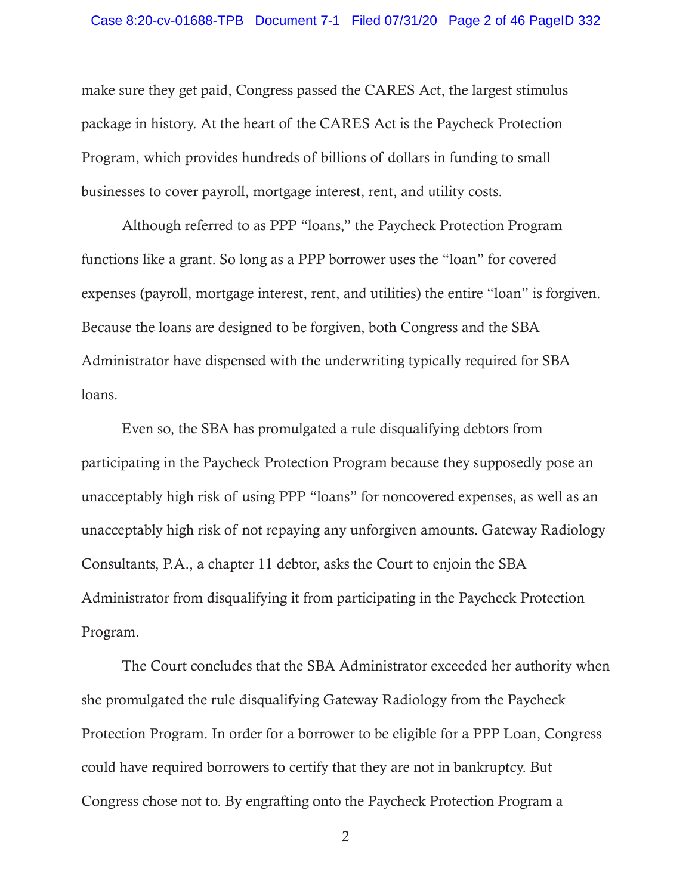make sure they get paid, Congress passed the CARES Act, the largest stimulus package in history. At the heart of the CARES Act is the Paycheck Protection Program, which provides hundreds of billions of dollars in funding to small businesses to cover payroll, mortgage interest, rent, and utility costs.

Although referred to as PPP "loans," the Paycheck Protection Program functions like a grant. So long as a PPP borrower uses the "loan" for covered expenses (payroll, mortgage interest, rent, and utilities) the entire "loan" is forgiven. Because the loans are designed to be forgiven, both Congress and the SBA Administrator have dispensed with the underwriting typically required for SBA loans.

Even so, the SBA has promulgated a rule disqualifying debtors from participating in the Paycheck Protection Program because they supposedly pose an unacceptably high risk of using PPP "loans" for noncovered expenses, as well as an unacceptably high risk of not repaying any unforgiven amounts. Gateway Radiology Consultants, P.A., a chapter 11 debtor, asks the Court to enjoin the SBA Administrator from disqualifying it from participating in the Paycheck Protection Program.

The Court concludes that the SBA Administrator exceeded her authority when she promulgated the rule disqualifying Gateway Radiology from the Paycheck Protection Program. In order for a borrower to be eligible for a PPP Loan, Congress could have required borrowers to certify that they are not in bankruptcy. But Congress chose not to. By engrafting onto the Paycheck Protection Program a

2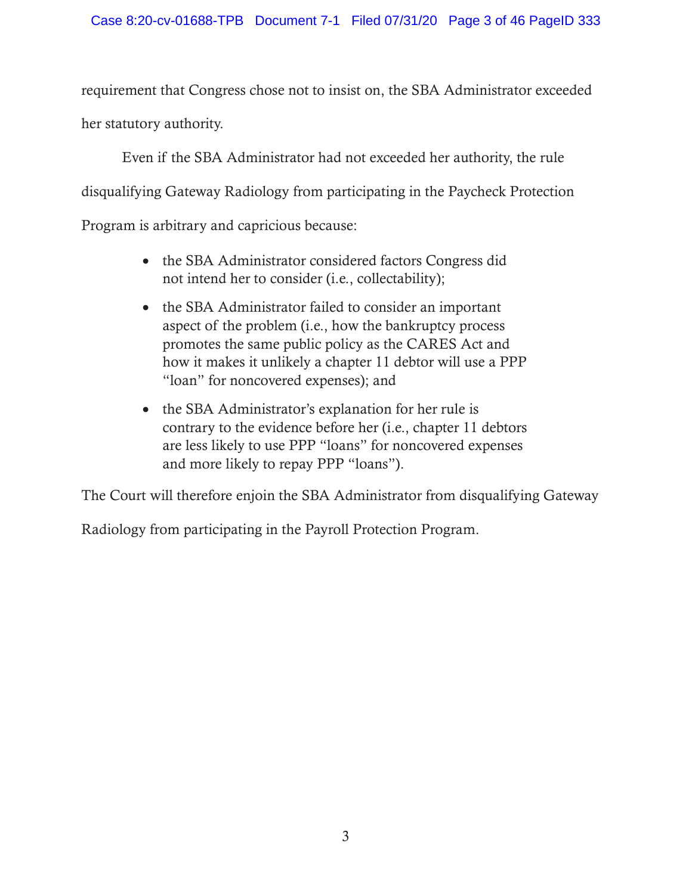requirement that Congress chose not to insist on, the SBA Administrator exceeded her statutory authority.

Even if the SBA Administrator had not exceeded her authority, the rule disqualifying Gateway Radiology from participating in the Paycheck Protection Program is arbitrary and capricious because:

- the SBA Administrator considered factors Congress did not intend her to consider (i.e., collectability);
- the SBA Administrator failed to consider an important aspect of the problem (i.e., how the bankruptcy process promotes the same public policy as the CARES Act and how it makes it unlikely a chapter 11 debtor will use a PPP "loan" for noncovered expenses); and
- the SBA Administrator's explanation for her rule is contrary to the evidence before her (i.e., chapter 11 debtors are less likely to use PPP "loans" for noncovered expenses and more likely to repay PPP "loans").

The Court will therefore enjoin the SBA Administrator from disqualifying Gateway

Radiology from participating in the Payroll Protection Program.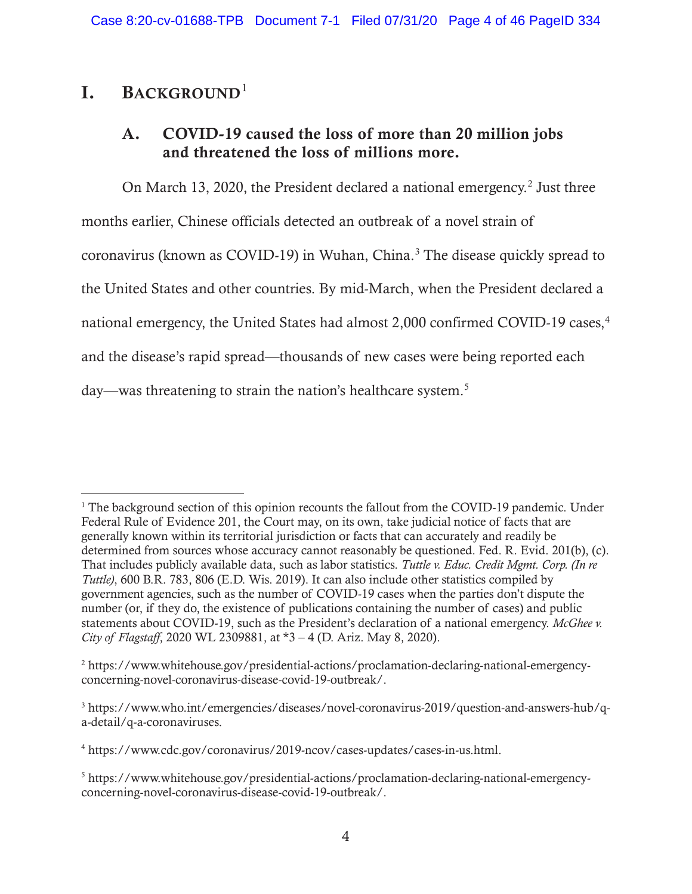# I. BACKGROUND<sup>1</sup>

# A. COVID-19 caused the loss of more than 20 million jobs and threatened the loss of millions more.

On March 13, 2020, the President declared a national emergency.<sup>2</sup> Just three months earlier, Chinese officials detected an outbreak of a novel strain of coronavirus (known as COVID-19) in Wuhan, China.<sup>3</sup> The disease quickly spread to the United States and other countries. By mid-March, when the President declared a national emergency, the United States had almost 2,000 confirmed COVID-19 cases,<sup>4</sup> and the disease's rapid spread—thousands of new cases were being reported each day—was threatening to strain the nation's healthcare system.<sup>5</sup>

<sup>&</sup>lt;sup>1</sup> The background section of this opinion recounts the fallout from the COVID-19 pandemic. Under Federal Rule of Evidence 201, the Court may, on its own, take judicial notice of facts that are generally known within its territorial jurisdiction or facts that can accurately and readily be determined from sources whose accuracy cannot reasonably be questioned. Fed. R. Evid. 201(b), (c). That includes publicly available data, such as labor statistics. *Tuttle v. Educ. Credit Mgmt. Corp. (In re Tuttle)*, 600 B.R. 783, 806 (E.D. Wis. 2019). It can also include other statistics compiled by government agencies, such as the number of COVID-19 cases when the parties don't dispute the number (or, if they do, the existence of publications containing the number of cases) and public statements about COVID-19, such as the President's declaration of a national emergency. *McGhee v. City of Flagstaff*, 2020 WL 2309881, at \*3 – 4 (D. Ariz. May 8, 2020).

<sup>2</sup> https://www.whitehouse.gov/presidential-actions/proclamation-declaring-national-emergencyconcerning-novel-coronavirus-disease-covid-19-outbreak/.

<sup>&</sup>lt;sup>3</sup> https://www.who.int/emergencies/diseases/novel-coronavirus-2019/question-and-answers-hub/qa-detail/q-a-coronaviruses.

<sup>4</sup> https://www.cdc.gov/coronavirus/2019-ncov/cases-updates/cases-in-us.html.

<sup>&</sup>lt;sup>5</sup> https://www.whitehouse.gov/presidential-actions/proclamation-declaring-national-emergencyconcerning-novel-coronavirus-disease-covid-19-outbreak/.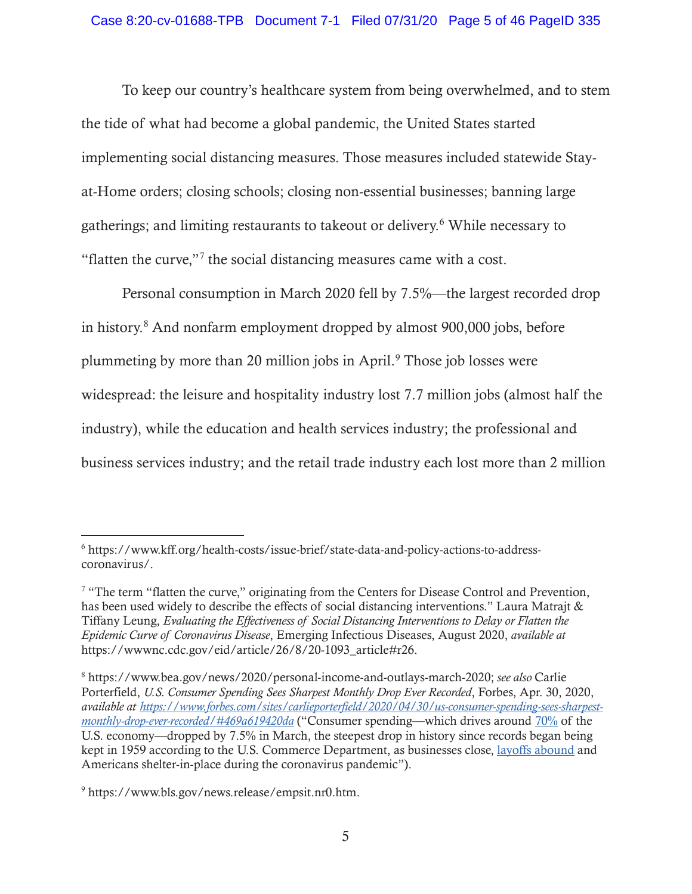To keep our country's healthcare system from being overwhelmed, and to stem the tide of what had become a global pandemic, the United States started implementing social distancing measures. Those measures included statewide Stayat-Home orders; closing schools; closing non-essential businesses; banning large gatherings; and limiting restaurants to takeout or delivery.<sup>6</sup> While necessary to "flatten the curve,"<sup>7</sup> the social distancing measures came with a cost.

Personal consumption in March 2020 fell by 7.5%—the largest recorded drop in history.8 And nonfarm employment dropped by almost 900,000 jobs, before plummeting by more than 20 million jobs in April.<sup>9</sup> Those job losses were widespread: the leisure and hospitality industry lost 7.7 million jobs (almost half the industry), while the education and health services industry; the professional and business services industry; and the retail trade industry each lost more than 2 million

<sup>6</sup> https://www.kff.org/health-costs/issue-brief/state-data-and-policy-actions-to-addresscoronavirus/.

 $7$  "The term "flatten the curve," originating from the Centers for Disease Control and Prevention, has been used widely to describe the effects of social distancing interventions." Laura Matrajt & Tiffany Leung, *Evaluating the Effectiveness of Social Distancing Interventions to Delay or Flatten the Epidemic Curve of Coronavirus Disease*, Emerging Infectious Diseases, August 2020, *available at*  https://wwwnc.cdc.gov/eid/article/26/8/20-1093\_article#r26.

<sup>8</sup> https://www.bea.gov/news/2020/personal-income-and-outlays-march-2020; *see also* Carlie Porterfield, *U.S. Consumer Spending Sees Sharpest Monthly Drop Ever Recorded*, Forbes, Apr. 30, 2020, *available at https://www.forbes.com/sites/carlieporterfield/2020/04/30/us-consumer-spending-sees-sharpestmonthly-drop-ever-recorded/#469a619420da* ("Consumer spending—which drives around 70% of the U.S. economy—dropped by 7.5% in March, the steepest drop in history since records began being kept in 1959 according to the U.S. Commerce Department, as businesses close, layoffs abound and Americans shelter-in-place during the coronavirus pandemic").

<sup>9</sup> https://www.bls.gov/news.release/empsit.nr0.htm.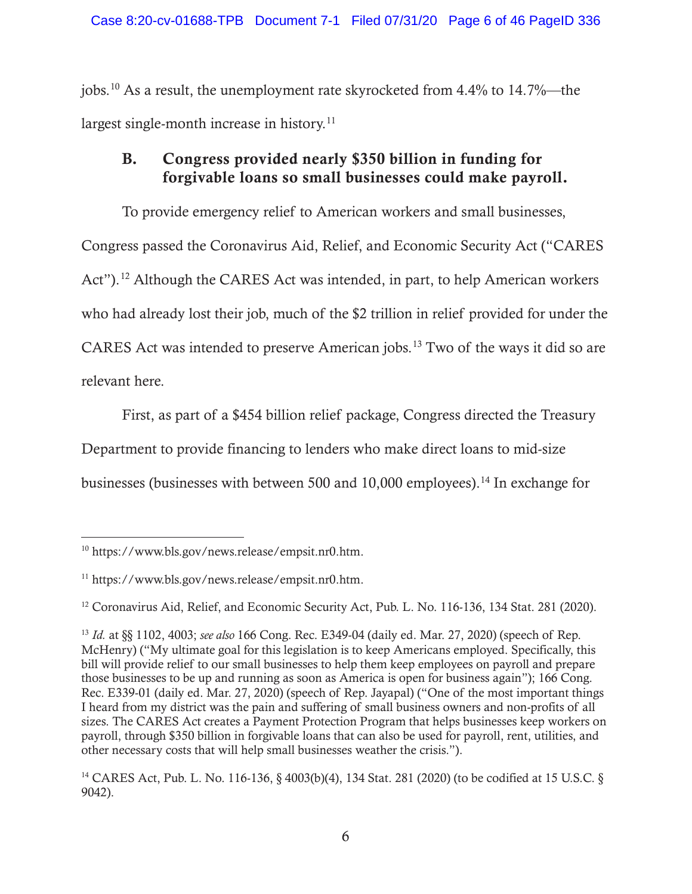jobs.10 As a result, the unemployment rate skyrocketed from 4.4% to 14.7%—the largest single-month increase in history.<sup>11</sup>

# B. Congress provided nearly \$350 billion in funding for forgivable loans so small businesses could make payroll.

To provide emergency relief to American workers and small businesses, Congress passed the Coronavirus Aid, Relief, and Economic Security Act ("CARES Act").<sup>12</sup> Although the CARES Act was intended, in part, to help American workers who had already lost their job, much of the \$2 trillion in relief provided for under the CARES Act was intended to preserve American jobs.13 Two of the ways it did so are relevant here.

First, as part of a \$454 billion relief package, Congress directed the Treasury Department to provide financing to lenders who make direct loans to mid-size businesses (businesses with between 500 and 10,000 employees).<sup>14</sup> In exchange for

<sup>10</sup> https://www.bls.gov/news.release/empsit.nr0.htm.

<sup>11</sup> https://www.bls.gov/news.release/empsit.nr0.htm.

<sup>&</sup>lt;sup>12</sup> Coronavirus Aid, Relief, and Economic Security Act, Pub. L. No. 116-136, 134 Stat. 281 (2020).

<sup>13</sup> *Id.* at §§ 1102, 4003; *see also* 166 Cong. Rec. E349-04 (daily ed. Mar. 27, 2020) (speech of Rep. McHenry) ("My ultimate goal for this legislation is to keep Americans employed. Specifically, this bill will provide relief to our small businesses to help them keep employees on payroll and prepare those businesses to be up and running as soon as America is open for business again"); 166 Cong. Rec. E339-01 (daily ed. Mar. 27, 2020) (speech of Rep. Jayapal) ("One of the most important things I heard from my district was the pain and suffering of small business owners and non-profits of all sizes. The CARES Act creates a Payment Protection Program that helps businesses keep workers on payroll, through \$350 billion in forgivable loans that can also be used for payroll, rent, utilities, and other necessary costs that will help small businesses weather the crisis.").

<sup>14</sup> CARES Act, Pub. L. No. 116-136, § 4003(b)(4), 134 Stat. 281 (2020) (to be codified at 15 U.S.C. § 9042).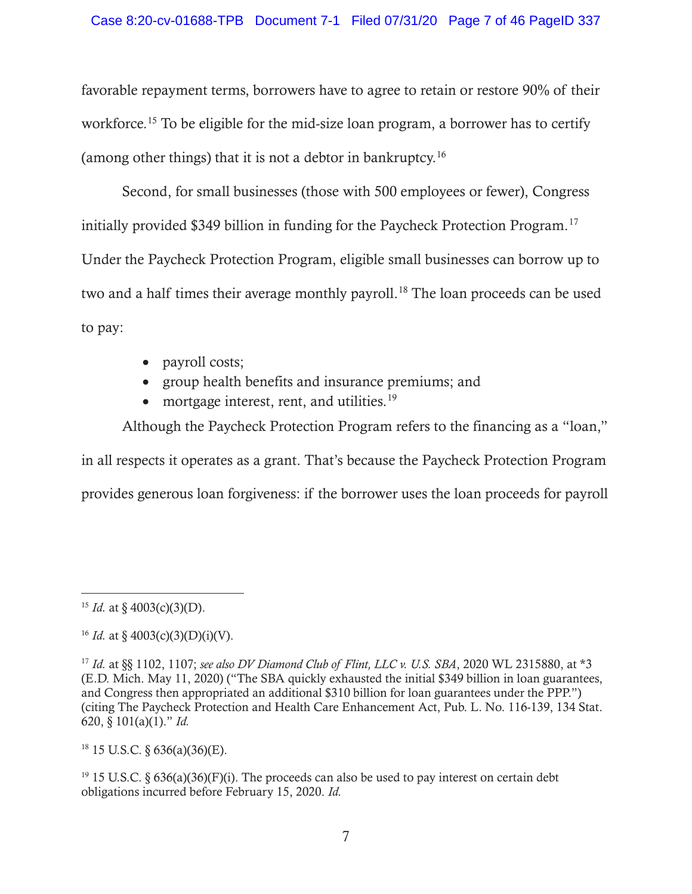favorable repayment terms, borrowers have to agree to retain or restore 90% of their workforce.<sup>15</sup> To be eligible for the mid-size loan program, a borrower has to certify (among other things) that it is not a debtor in bankruptcy.16

Second, for small businesses (those with 500 employees or fewer), Congress initially provided \$349 billion in funding for the Paycheck Protection Program.<sup>17</sup> Under the Paycheck Protection Program, eligible small businesses can borrow up to two and a half times their average monthly payroll.<sup>18</sup> The loan proceeds can be used to pay:

- payroll costs;
- group health benefits and insurance premiums; and
- mortgage interest, rent, and utilities. $19$

Although the Paycheck Protection Program refers to the financing as a "loan," in all respects it operates as a grant. That's because the Paycheck Protection Program provides generous loan forgiveness: if the borrower uses the loan proceeds for payroll

 $18$  15 U.S.C. § 636(a)(36)(E).

 $^{19}$  15 U.S.C. § 636(a)(36)(F)(i). The proceeds can also be used to pay interest on certain debt obligations incurred before February 15, 2020. *Id.* 

<sup>&</sup>lt;sup>15</sup> *Id.* at § 4003(c)(3)(D).

<sup>&</sup>lt;sup>16</sup> *Id.* at § 4003(c)(3)(D)(i)(V).

<sup>17</sup> *Id.* at §§ 1102, 1107; *see also DV Diamond Club of Flint, LLC v. U.S. SBA*, 2020 WL 2315880, at \*3 (E.D. Mich. May 11, 2020) ("The SBA quickly exhausted the initial \$349 billion in loan guarantees, and Congress then appropriated an additional \$310 billion for loan guarantees under the PPP.") (citing The Paycheck Protection and Health Care Enhancement Act, Pub. L. No. 116-139, 134 Stat. 620, § 101(a)(1)." *Id.*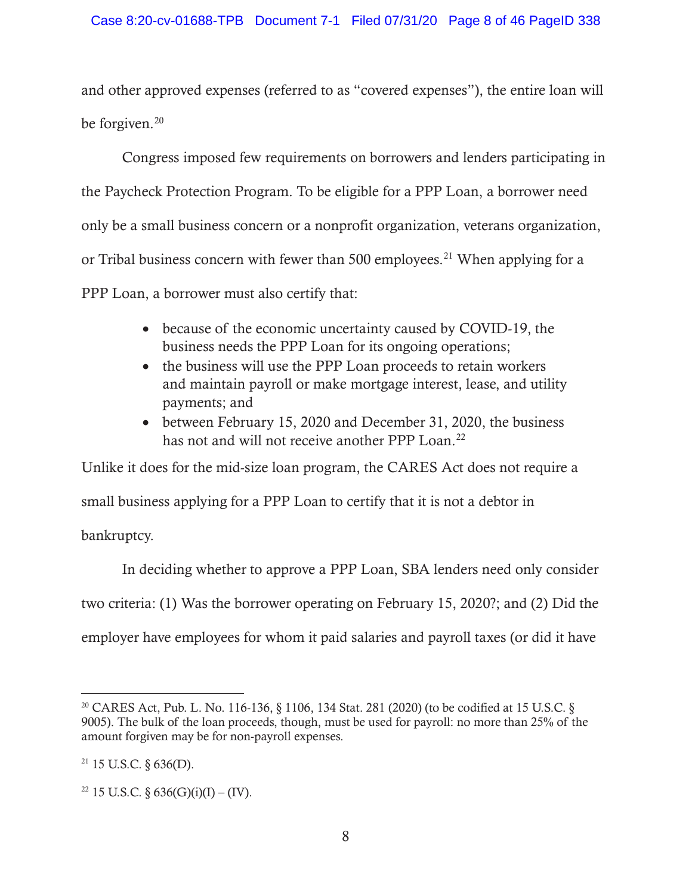and other approved expenses (referred to as "covered expenses"), the entire loan will be forgiven.<sup>20</sup>

Congress imposed few requirements on borrowers and lenders participating in the Paycheck Protection Program. To be eligible for a PPP Loan, a borrower need only be a small business concern or a nonprofit organization, veterans organization, or Tribal business concern with fewer than 500 employees.<sup>21</sup> When applying for a PPP Loan, a borrower must also certify that:

- because of the economic uncertainty caused by COVID-19, the business needs the PPP Loan for its ongoing operations;
- the business will use the PPP Loan proceeds to retain workers and maintain payroll or make mortgage interest, lease, and utility payments; and
- between February 15, 2020 and December 31, 2020, the business has not and will not receive another PPP Loan.<sup>22</sup>

Unlike it does for the mid-size loan program, the CARES Act does not require a

small business applying for a PPP Loan to certify that it is not a debtor in

bankruptcy.

In deciding whether to approve a PPP Loan, SBA lenders need only consider two criteria: (1) Was the borrower operating on February 15, 2020?; and (2) Did the employer have employees for whom it paid salaries and payroll taxes (or did it have

<sup>20</sup> CARES Act, Pub. L. No. 116-136, § 1106, 134 Stat. 281 (2020) (to be codified at 15 U.S.C. § 9005). The bulk of the loan proceeds, though, must be used for payroll: no more than 25% of the amount forgiven may be for non-payroll expenses.

 $21$  15 U.S.C. § 636(D).

<sup>&</sup>lt;sup>22</sup> 15 U.S.C. § 636(G)(i)(I) – (IV).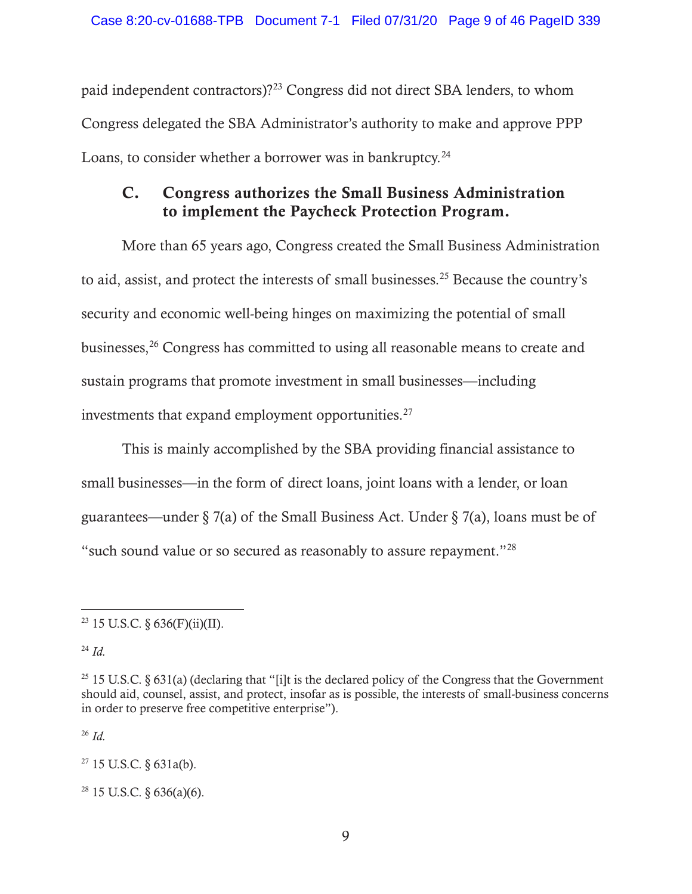paid independent contractors)?<sup>23</sup> Congress did not direct SBA lenders, to whom Congress delegated the SBA Administrator's authority to make and approve PPP Loans, to consider whether a borrower was in bankruptcy. $^{24}$ 

# C. Congress authorizes the Small Business Administration to implement the Paycheck Protection Program.

More than 65 years ago, Congress created the Small Business Administration to aid, assist, and protect the interests of small businesses.25 Because the country's security and economic well-being hinges on maximizing the potential of small businesses,26 Congress has committed to using all reasonable means to create and sustain programs that promote investment in small businesses—including investments that expand employment opportunities.<sup>27</sup>

This is mainly accomplished by the SBA providing financial assistance to small businesses—in the form of direct loans, joint loans with a lender, or loan guarantees—under § 7(a) of the Small Business Act. Under § 7(a), loans must be of "such sound value or so secured as reasonably to assure repayment."28

<sup>24</sup> *Id.*

<sup>26</sup> *Id.*

 $27$  15 U.S.C. § 631a(b).

 $28$  15 U.S.C. § 636(a)(6).

<sup>&</sup>lt;sup>23</sup> 15 U.S.C. §  $636(F)(ii)(II)$ .

<sup>25 15</sup> U.S.C. § 631(a) (declaring that "[i]t is the declared policy of the Congress that the Government should aid, counsel, assist, and protect, insofar as is possible, the interests of small-business concerns in order to preserve free competitive enterprise").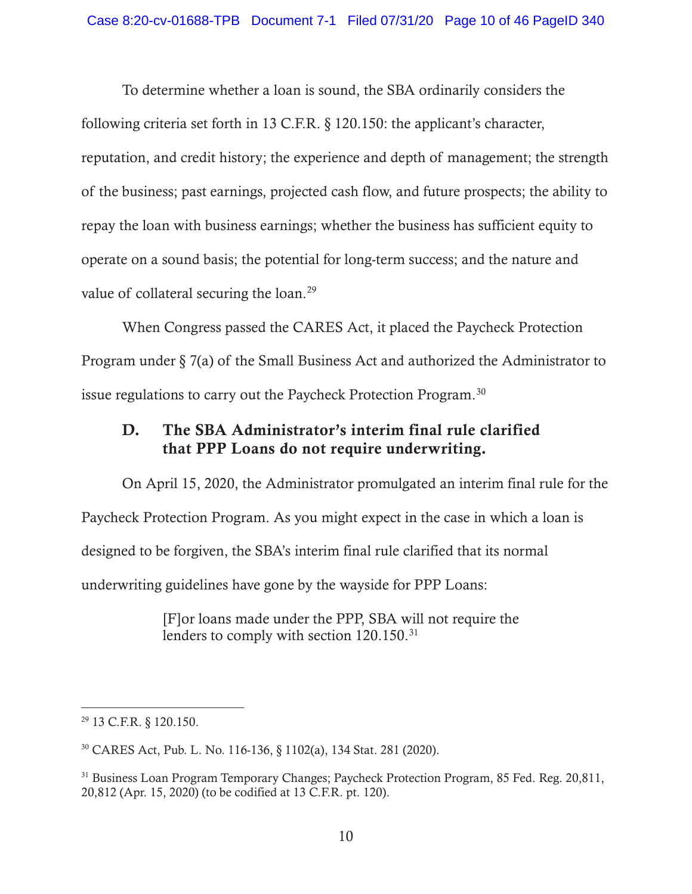To determine whether a loan is sound, the SBA ordinarily considers the following criteria set forth in 13 C.F.R. § 120.150: the applicant's character, reputation, and credit history; the experience and depth of management; the strength of the business; past earnings, projected cash flow, and future prospects; the ability to repay the loan with business earnings; whether the business has sufficient equity to operate on a sound basis; the potential for long-term success; and the nature and value of collateral securing the loan.<sup>29</sup>

When Congress passed the CARES Act, it placed the Paycheck Protection Program under § 7(a) of the Small Business Act and authorized the Administrator to issue regulations to carry out the Paycheck Protection Program.30

# D. The SBA Administrator's interim final rule clarified that PPP Loans do not require underwriting.

On April 15, 2020, the Administrator promulgated an interim final rule for the Paycheck Protection Program. As you might expect in the case in which a loan is designed to be forgiven, the SBA's interim final rule clarified that its normal underwriting guidelines have gone by the wayside for PPP Loans:

> [F]or loans made under the PPP, SBA will not require the lenders to comply with section 120.150.<sup>31</sup>

<sup>29 13</sup> C.F.R. § 120.150.

<sup>30</sup> CARES Act, Pub. L. No. 116-136, § 1102(a), 134 Stat. 281 (2020).

<sup>&</sup>lt;sup>31</sup> Business Loan Program Temporary Changes; Paycheck Protection Program, 85 Fed. Reg. 20,811, 20,812 (Apr. 15, 2020) (to be codified at 13 C.F.R. pt. 120).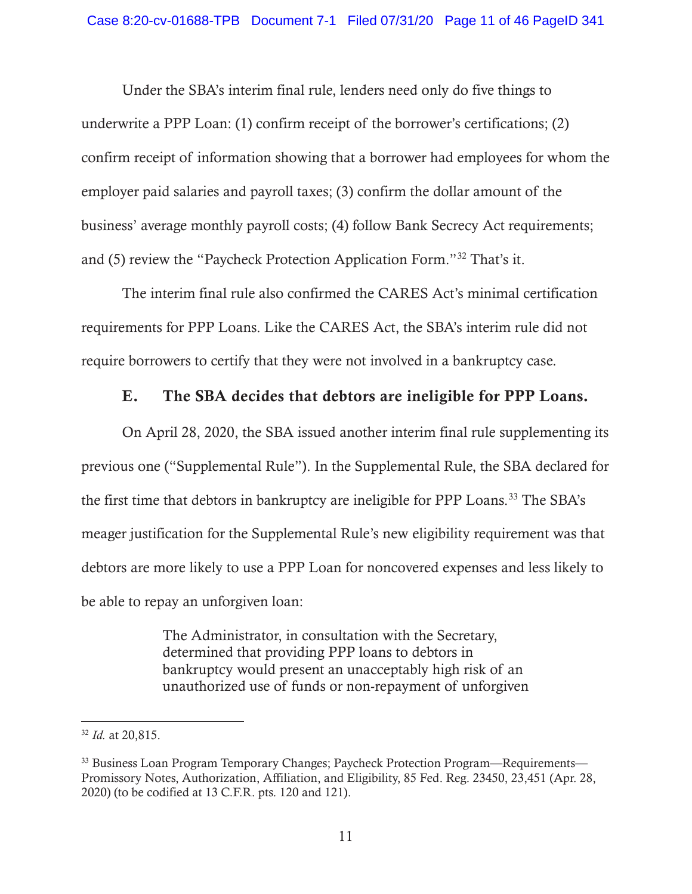Under the SBA's interim final rule, lenders need only do five things to underwrite a PPP Loan: (1) confirm receipt of the borrower's certifications; (2) confirm receipt of information showing that a borrower had employees for whom the employer paid salaries and payroll taxes; (3) confirm the dollar amount of the business' average monthly payroll costs; (4) follow Bank Secrecy Act requirements; and (5) review the "Paycheck Protection Application Form."32 That's it.

The interim final rule also confirmed the CARES Act's minimal certification requirements for PPP Loans. Like the CARES Act, the SBA's interim rule did not require borrowers to certify that they were not involved in a bankruptcy case.

### E. The SBA decides that debtors are ineligible for PPP Loans.

On April 28, 2020, the SBA issued another interim final rule supplementing its previous one ("Supplemental Rule"). In the Supplemental Rule, the SBA declared for the first time that debtors in bankruptcy are ineligible for PPP Loans.<sup>33</sup> The SBA's meager justification for the Supplemental Rule's new eligibility requirement was that debtors are more likely to use a PPP Loan for noncovered expenses and less likely to be able to repay an unforgiven loan:

> The Administrator, in consultation with the Secretary, determined that providing PPP loans to debtors in bankruptcy would present an unacceptably high risk of an unauthorized use of funds or non-repayment of unforgiven

<sup>32</sup> *Id.* at 20,815.

<sup>&</sup>lt;sup>33</sup> Business Loan Program Temporary Changes; Paycheck Protection Program—Requirements— Promissory Notes, Authorization, Affiliation, and Eligibility, 85 Fed. Reg. 23450, 23,451 (Apr. 28, 2020) (to be codified at 13 C.F.R. pts. 120 and 121).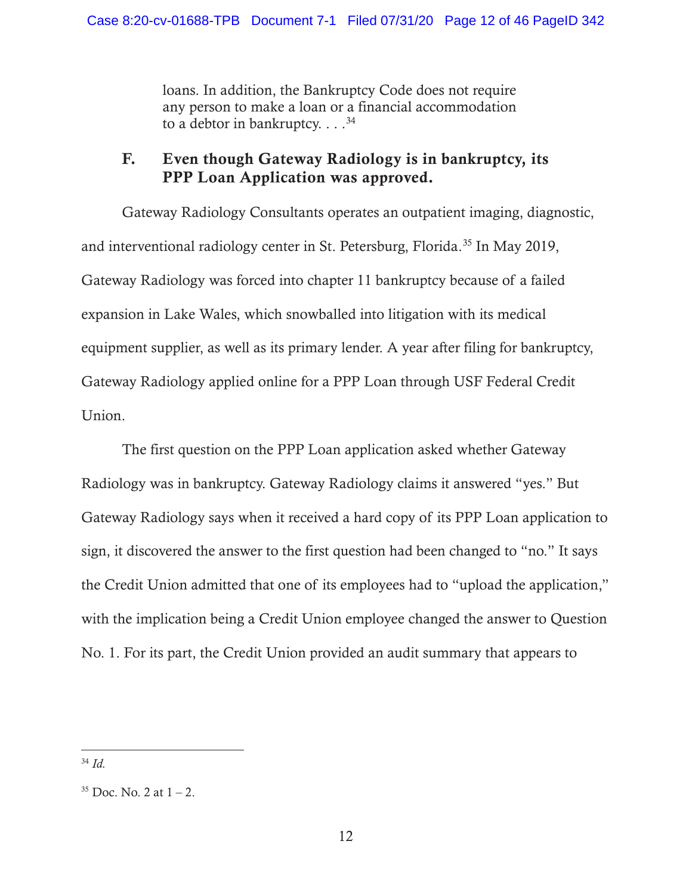loans. In addition, the Bankruptcy Code does not require any person to make a loan or a financial accommodation to a debtor in bankruptcy.  $\ldots$ <sup>34</sup>

# F. Even though Gateway Radiology is in bankruptcy, its PPP Loan Application was approved.

Gateway Radiology Consultants operates an outpatient imaging, diagnostic, and interventional radiology center in St. Petersburg, Florida.<sup>35</sup> In May 2019, Gateway Radiology was forced into chapter 11 bankruptcy because of a failed expansion in Lake Wales, which snowballed into litigation with its medical equipment supplier, as well as its primary lender. A year after filing for bankruptcy, Gateway Radiology applied online for a PPP Loan through USF Federal Credit Union.

The first question on the PPP Loan application asked whether Gateway Radiology was in bankruptcy. Gateway Radiology claims it answered "yes." But Gateway Radiology says when it received a hard copy of its PPP Loan application to sign, it discovered the answer to the first question had been changed to "no." It says the Credit Union admitted that one of its employees had to "upload the application," with the implication being a Credit Union employee changed the answer to Question No. 1. For its part, the Credit Union provided an audit summary that appears to

<sup>34</sup> *Id.*

 $35$  Doc. No. 2 at  $1 - 2$ .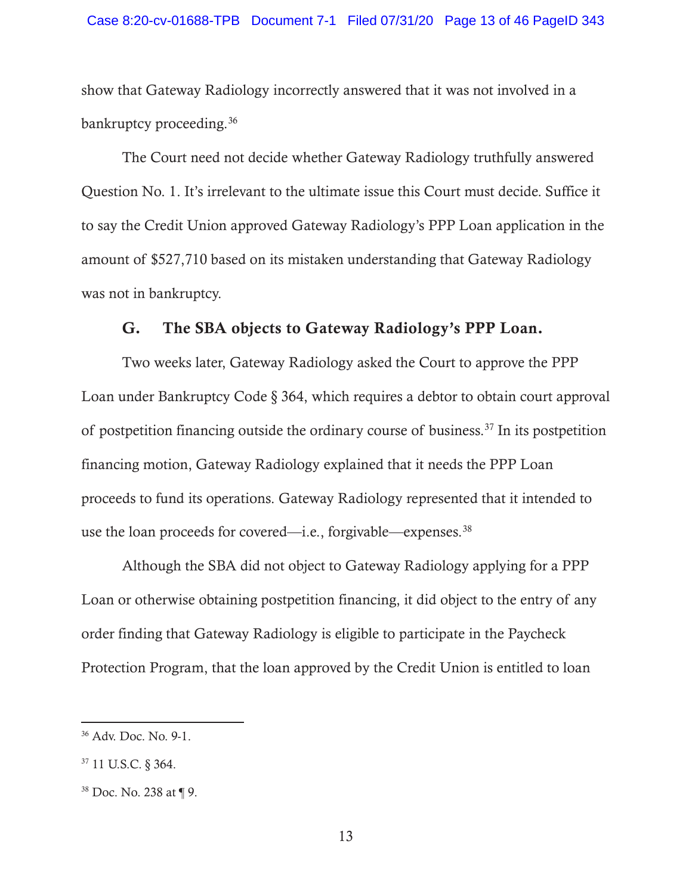show that Gateway Radiology incorrectly answered that it was not involved in a bankruptcy proceeding.<sup>36</sup>

The Court need not decide whether Gateway Radiology truthfully answered Question No. 1. It's irrelevant to the ultimate issue this Court must decide. Suffice it to say the Credit Union approved Gateway Radiology's PPP Loan application in the amount of \$527,710 based on its mistaken understanding that Gateway Radiology was not in bankruptcy.

### G. The SBA objects to Gateway Radiology's PPP Loan.

Two weeks later, Gateway Radiology asked the Court to approve the PPP Loan under Bankruptcy Code § 364, which requires a debtor to obtain court approval of postpetition financing outside the ordinary course of business.<sup>37</sup> In its postpetition financing motion, Gateway Radiology explained that it needs the PPP Loan proceeds to fund its operations. Gateway Radiology represented that it intended to use the loan proceeds for covered—i.e., forgivable—expenses.<sup>38</sup>

Although the SBA did not object to Gateway Radiology applying for a PPP Loan or otherwise obtaining postpetition financing, it did object to the entry of any order finding that Gateway Radiology is eligible to participate in the Paycheck Protection Program, that the loan approved by the Credit Union is entitled to loan

<sup>36</sup> Adv. Doc. No. 9-1.

<sup>37 11</sup> U.S.C. § 364.

<sup>38</sup> Doc. No. 238 at ¶ 9.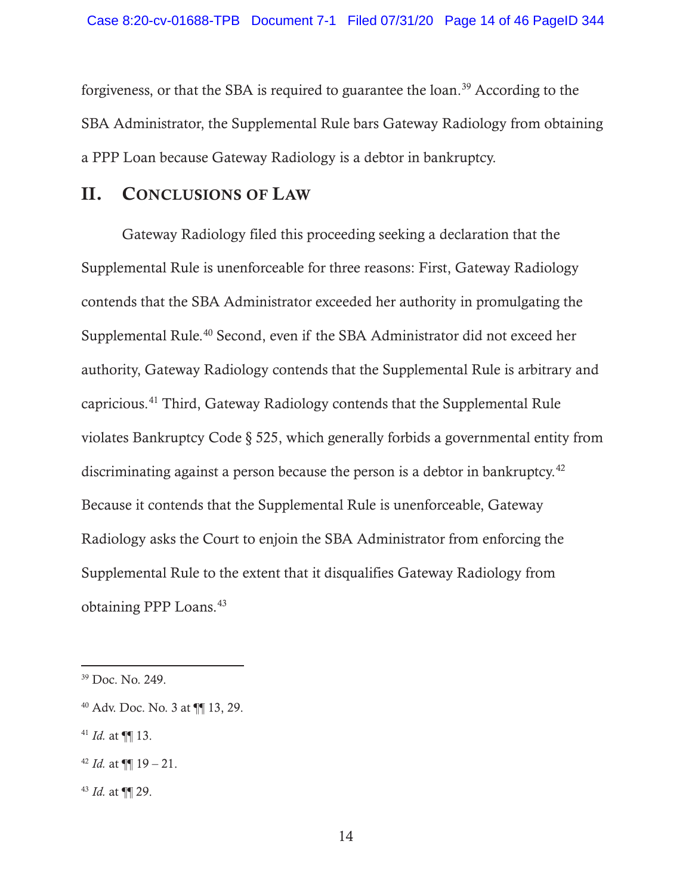forgiveness, or that the SBA is required to guarantee the loan.39 According to the SBA Administrator, the Supplemental Rule bars Gateway Radiology from obtaining a PPP Loan because Gateway Radiology is a debtor in bankruptcy.

## II. CONCLUSIONS OF LAW

Gateway Radiology filed this proceeding seeking a declaration that the Supplemental Rule is unenforceable for three reasons: First, Gateway Radiology contends that the SBA Administrator exceeded her authority in promulgating the Supplemental Rule.<sup>40</sup> Second, even if the SBA Administrator did not exceed her authority, Gateway Radiology contends that the Supplemental Rule is arbitrary and capricious.41 Third, Gateway Radiology contends that the Supplemental Rule violates Bankruptcy Code § 525, which generally forbids a governmental entity from discriminating against a person because the person is a debtor in bankruptcy.<sup>42</sup> Because it contends that the Supplemental Rule is unenforceable, Gateway Radiology asks the Court to enjoin the SBA Administrator from enforcing the Supplemental Rule to the extent that it disqualifies Gateway Radiology from obtaining PPP Loans.43

 $41$  *Id.* at  $\P\P$  13.

<sup>39</sup> Doc. No. 249.

<sup>40</sup> Adv. Doc. No. 3 at ¶¶ 13, 29.

<sup>&</sup>lt;sup>42</sup> *Id.* at  $\P\P$  19 – 21.

<sup>43</sup> *Id.* at ¶¶ 29.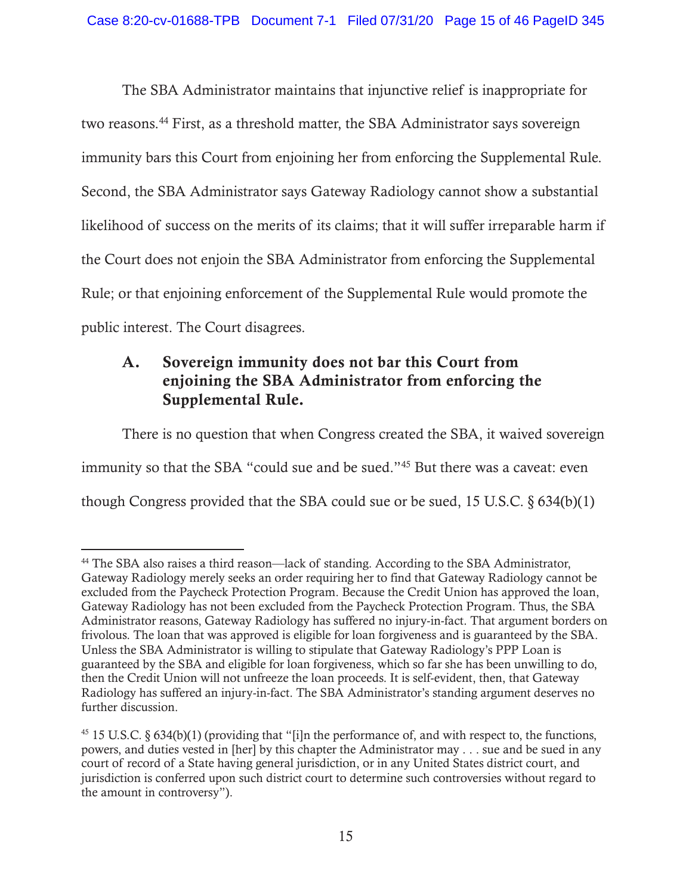The SBA Administrator maintains that injunctive relief is inappropriate for two reasons.<sup>44</sup> First, as a threshold matter, the SBA Administrator says sovereign immunity bars this Court from enjoining her from enforcing the Supplemental Rule. Second, the SBA Administrator says Gateway Radiology cannot show a substantial likelihood of success on the merits of its claims; that it will suffer irreparable harm if the Court does not enjoin the SBA Administrator from enforcing the Supplemental Rule; or that enjoining enforcement of the Supplemental Rule would promote the public interest. The Court disagrees.

# A. Sovereign immunity does not bar this Court from enjoining the SBA Administrator from enforcing the Supplemental Rule.

There is no question that when Congress created the SBA, it waived sovereign immunity so that the SBA "could sue and be sued."45 But there was a caveat: even though Congress provided that the SBA could sue or be sued, 15 U.S.C. § 634(b)(1)

<sup>44</sup> The SBA also raises a third reason—lack of standing. According to the SBA Administrator, Gateway Radiology merely seeks an order requiring her to find that Gateway Radiology cannot be excluded from the Paycheck Protection Program. Because the Credit Union has approved the loan, Gateway Radiology has not been excluded from the Paycheck Protection Program. Thus, the SBA Administrator reasons, Gateway Radiology has suffered no injury-in-fact. That argument borders on frivolous. The loan that was approved is eligible for loan forgiveness and is guaranteed by the SBA. Unless the SBA Administrator is willing to stipulate that Gateway Radiology's PPP Loan is guaranteed by the SBA and eligible for loan forgiveness, which so far she has been unwilling to do, then the Credit Union will not unfreeze the loan proceeds. It is self-evident, then, that Gateway Radiology has suffered an injury-in-fact. The SBA Administrator's standing argument deserves no further discussion.

 $45$  15 U.S.C. § 634(b)(1) (providing that "[i]n the performance of, and with respect to, the functions, powers, and duties vested in [her] by this chapter the Administrator may . . . sue and be sued in any court of record of a State having general jurisdiction, or in any United States district court, and jurisdiction is conferred upon such district court to determine such controversies without regard to the amount in controversy").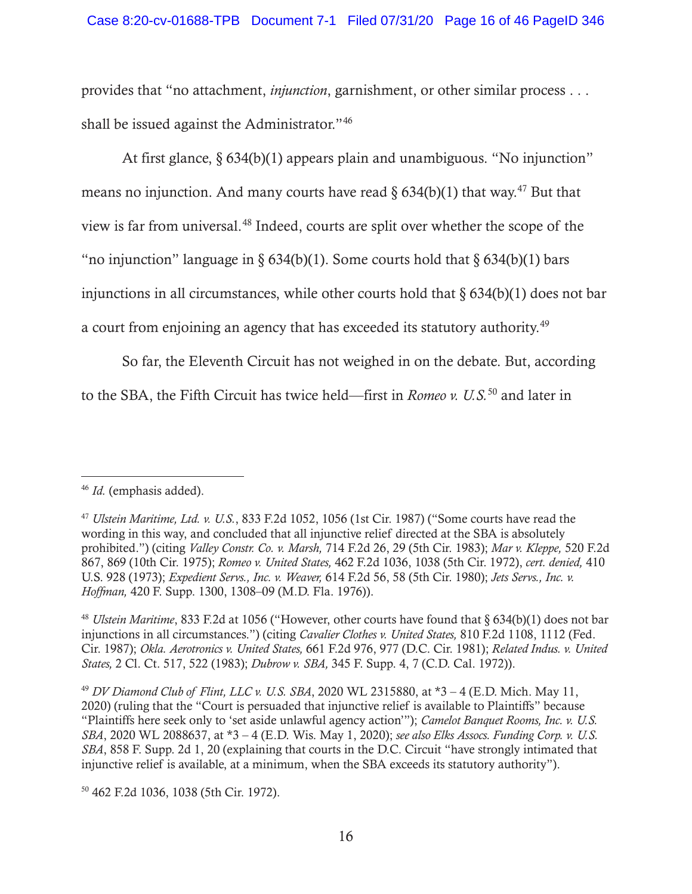provides that "no attachment, *injunction*, garnishment, or other similar process . . . shall be issued against the Administrator."46

At first glance, § 634(b)(1) appears plain and unambiguous. "No injunction" means no injunction. And many courts have read  $\S 634(b)(1)$  that way.<sup>47</sup> But that view is far from universal.48 Indeed, courts are split over whether the scope of the "no injunction" language in §  $634(b)(1)$ . Some courts hold that §  $634(b)(1)$  bars injunctions in all circumstances, while other courts hold that  $\delta$  634(b)(1) does not bar a court from enjoining an agency that has exceeded its statutory authority.<sup>49</sup>

So far, the Eleventh Circuit has not weighed in on the debate. But, according to the SBA, the Fifth Circuit has twice held—first in *Romeo v. U.S.*50 and later in

50 462 F.2d 1036, 1038 (5th Cir. 1972).

<sup>46</sup> *Id.* (emphasis added).

<sup>47</sup> *Ulstein Maritime, Ltd. v. U.S.*, 833 F.2d 1052, 1056 (1st Cir. 1987) ("Some courts have read the wording in this way, and concluded that all injunctive relief directed at the SBA is absolutely prohibited.") (citing *Valley Constr. Co. v. Marsh,* 714 F.2d 26, 29 (5th Cir. 1983); *Mar v. Kleppe,* 520 F.2d 867, 869 (10th Cir. 1975); *Romeo v. United States,* 462 F.2d 1036, 1038 (5th Cir. 1972), *cert. denied,* 410 U.S. 928 (1973); *Expedient Servs., Inc. v. Weaver,* 614 F.2d 56, 58 (5th Cir. 1980); *Jets Servs., Inc. v. Hoffman,* 420 F. Supp. 1300, 1308–09 (M.D. Fla. 1976)).

<sup>48</sup> *Ulstein Maritime*, 833 F.2d at 1056 ("However, other courts have found that § 634(b)(1) does not bar injunctions in all circumstances.") (citing *Cavalier Clothes v. United States,* 810 F.2d 1108, 1112 (Fed. Cir. 1987); *Okla. Aerotronics v. United States,* 661 F.2d 976, 977 (D.C. Cir. 1981); *Related Indus. v. United States,* 2 Cl. Ct. 517, 522 (1983); *Dubrow v. SBA,* 345 F. Supp. 4, 7 (C.D. Cal. 1972)).

<sup>49</sup> *DV Diamond Club of Flint, LLC v. U.S. SBA*, 2020 WL 2315880, at \*3 – 4 (E.D. Mich. May 11, 2020) (ruling that the "Court is persuaded that injunctive relief is available to Plaintiffs" because "Plaintiffs here seek only to 'set aside unlawful agency action'"); *Camelot Banquet Rooms, Inc. v. U.S. SBA*, 2020 WL 2088637, at \*3 – 4 (E.D. Wis. May 1, 2020); *see also Elks Assocs. Funding Corp. v. U.S. SBA*, 858 F. Supp. 2d 1, 20 (explaining that courts in the D.C. Circuit "have strongly intimated that injunctive relief is available, at a minimum, when the SBA exceeds its statutory authority").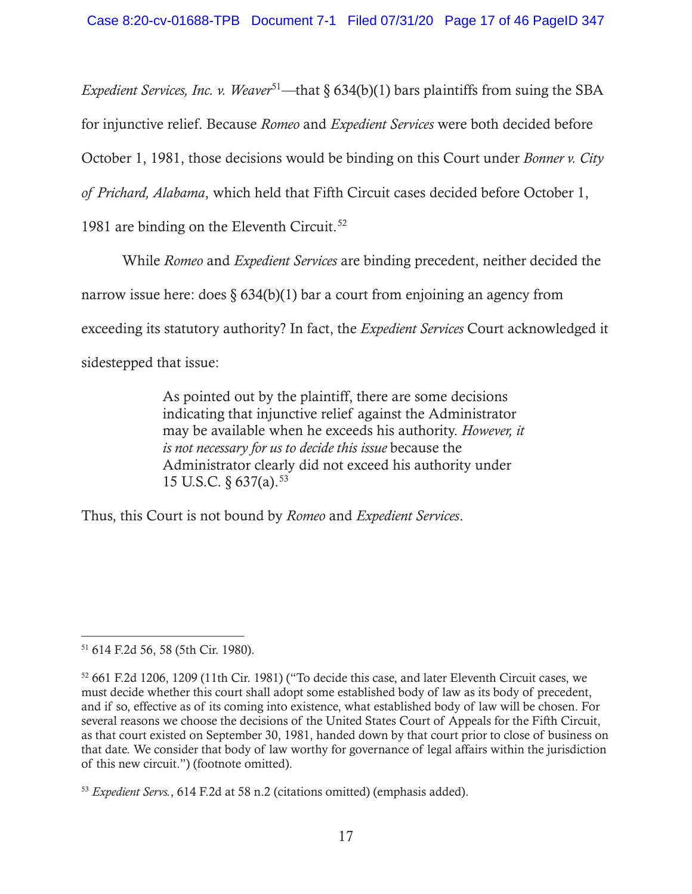*Expedient Services, Inc. v. Weaver*<sup>51</sup>—that § 634(b)(1) bars plaintiffs from suing the SBA

for injunctive relief. Because *Romeo* and *Expedient Services* were both decided before

October 1, 1981, those decisions would be binding on this Court under *Bonner v. City* 

*of Prichard, Alabama*, which held that Fifth Circuit cases decided before October 1,

1981 are binding on the Eleventh Circuit.<sup>52</sup>

While *Romeo* and *Expedient Services* are binding precedent, neither decided the

narrow issue here: does  $\S 634(b)(1)$  bar a court from enjoining an agency from

exceeding its statutory authority? In fact, the *Expedient Services* Court acknowledged it

sidestepped that issue:

As pointed out by the plaintiff, there are some decisions indicating that injunctive relief against the Administrator may be available when he exceeds his authority. *However, it is not necessary for us to decide this issue* because the Administrator clearly did not exceed his authority under 15 U.S.C.  $\frac{637}{a}$ .<sup>53</sup>

Thus, this Court is not bound by *Romeo* and *Expedient Services*.

<sup>51 614</sup> F.2d 56, 58 (5th Cir. 1980).

<sup>52 661</sup> F.2d 1206, 1209 (11th Cir. 1981) ("To decide this case, and later Eleventh Circuit cases, we must decide whether this court shall adopt some established body of law as its body of precedent, and if so, effective as of its coming into existence, what established body of law will be chosen. For several reasons we choose the decisions of the United States Court of Appeals for the Fifth Circuit, as that court existed on September 30, 1981, handed down by that court prior to close of business on that date. We consider that body of law worthy for governance of legal affairs within the jurisdiction of this new circuit.") (footnote omitted).

<sup>53</sup> *Expedient Servs.*, 614 F.2d at 58 n.2 (citations omitted) (emphasis added).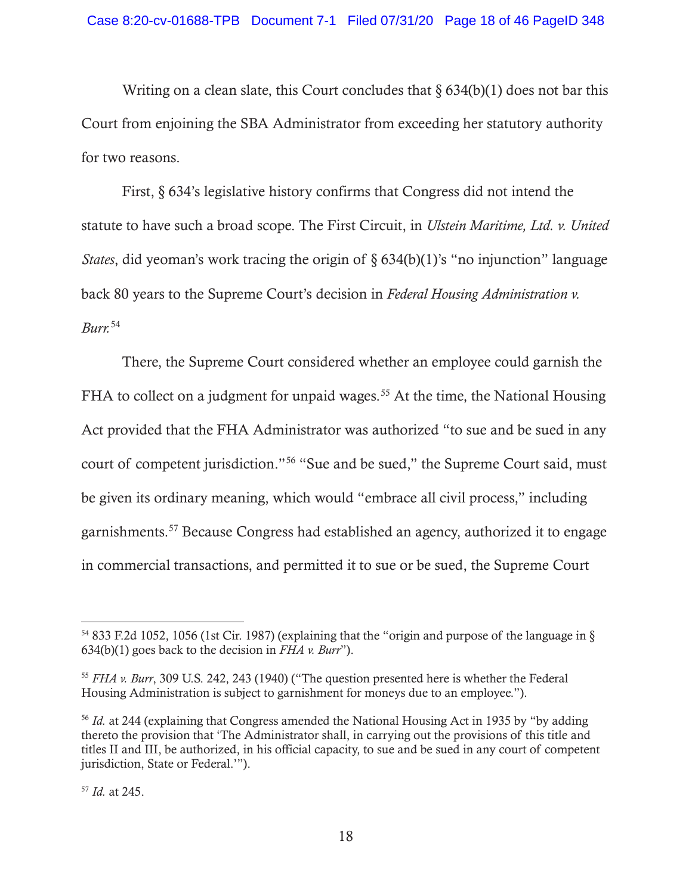Writing on a clean slate, this Court concludes that  $\S 634(b)(1)$  does not bar this Court from enjoining the SBA Administrator from exceeding her statutory authority for two reasons.

First, § 634's legislative history confirms that Congress did not intend the statute to have such a broad scope. The First Circuit, in *Ulstein Maritime, Ltd. v. United States*, did yeoman's work tracing the origin of § 634(b)(1)'s "no injunction" language back 80 years to the Supreme Court's decision in *Federal Housing Administration v. Burr.*54

There, the Supreme Court considered whether an employee could garnish the FHA to collect on a judgment for unpaid wages.<sup>55</sup> At the time, the National Housing Act provided that the FHA Administrator was authorized "to sue and be sued in any court of competent jurisdiction."56 "Sue and be sued," the Supreme Court said, must be given its ordinary meaning, which would "embrace all civil process," including garnishments.57 Because Congress had established an agency, authorized it to engage in commercial transactions, and permitted it to sue or be sued, the Supreme Court

<sup>54 833</sup> F.2d 1052, 1056 (1st Cir. 1987) (explaining that the "origin and purpose of the language in § 634(b)(1) goes back to the decision in *FHA v. Burr*").

<sup>55</sup> *FHA v. Burr*, 309 U.S. 242, 243 (1940) ("The question presented here is whether the Federal Housing Administration is subject to garnishment for moneys due to an employee.").

<sup>56</sup> *Id.* at 244 (explaining that Congress amended the National Housing Act in 1935 by "by adding thereto the provision that 'The Administrator shall, in carrying out the provisions of this title and titles II and III, be authorized, in his official capacity, to sue and be sued in any court of competent jurisdiction, State or Federal.'").

<sup>57</sup> *Id.* at 245.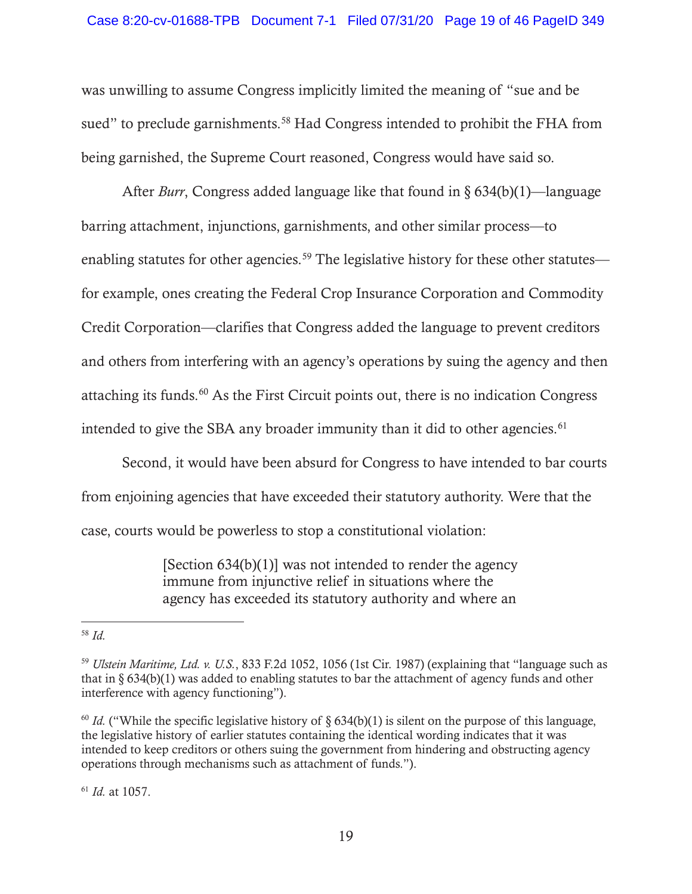was unwilling to assume Congress implicitly limited the meaning of "sue and be sued" to preclude garnishments.<sup>58</sup> Had Congress intended to prohibit the FHA from being garnished, the Supreme Court reasoned, Congress would have said so.

After *Burr*, Congress added language like that found in § 634(b)(1)—language barring attachment, injunctions, garnishments, and other similar process—to enabling statutes for other agencies.<sup>59</sup> The legislative history for these other statutes for example, ones creating the Federal Crop Insurance Corporation and Commodity Credit Corporation—clarifies that Congress added the language to prevent creditors and others from interfering with an agency's operations by suing the agency and then attaching its funds.60 As the First Circuit points out, there is no indication Congress intended to give the SBA any broader immunity than it did to other agencies.<sup>61</sup>

Second, it would have been absurd for Congress to have intended to bar courts from enjoining agencies that have exceeded their statutory authority. Were that the case, courts would be powerless to stop a constitutional violation:

> [Section  $634(b)(1)$ ] was not intended to render the agency immune from injunctive relief in situations where the agency has exceeded its statutory authority and where an

<sup>61</sup> *Id.* at 1057.

<sup>58</sup> *Id.*

<sup>59</sup> *Ulstein Maritime, Ltd. v. U.S.*, 833 F.2d 1052, 1056 (1st Cir. 1987) (explaining that "language such as that in  $\S 634(b)(1)$  was added to enabling statutes to bar the attachment of agency funds and other interference with agency functioning").

<sup>&</sup>lt;sup>60</sup> *Id.* ("While the specific legislative history of  $\S$  634(b)(1) is silent on the purpose of this language, the legislative history of earlier statutes containing the identical wording indicates that it was intended to keep creditors or others suing the government from hindering and obstructing agency operations through mechanisms such as attachment of funds.").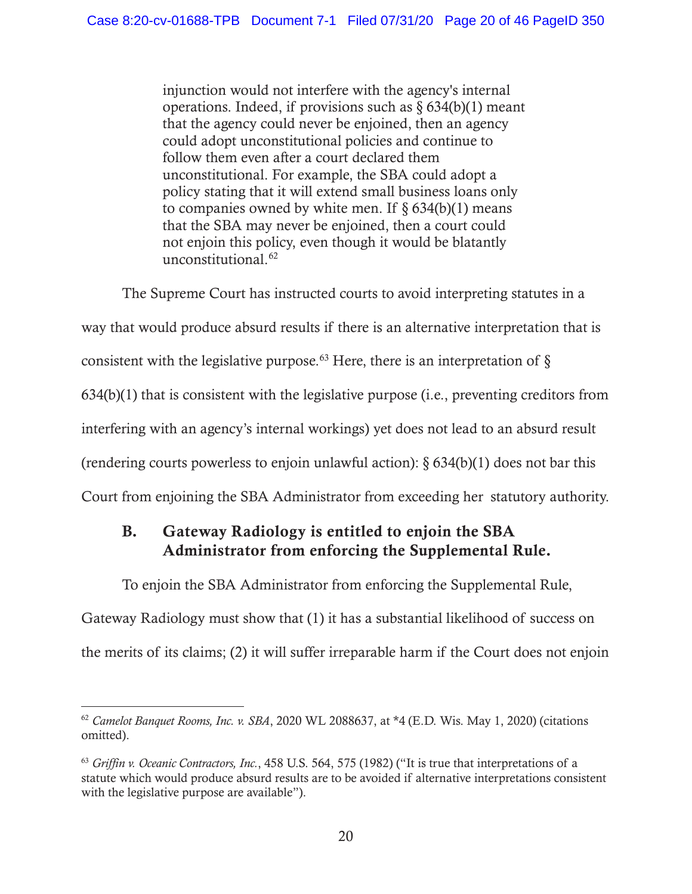injunction would not interfere with the agency's internal operations. Indeed, if provisions such as  $\S 634(b)(1)$  meant that the agency could never be enjoined, then an agency could adopt unconstitutional policies and continue to follow them even after a court declared them unconstitutional. For example, the SBA could adopt a policy stating that it will extend small business loans only to companies owned by white men. If  $\S 634(b)(1)$  means that the SBA may never be enjoined, then a court could not enjoin this policy, even though it would be blatantly unconstitutional.62

The Supreme Court has instructed courts to avoid interpreting statutes in a way that would produce absurd results if there is an alternative interpretation that is consistent with the legislative purpose.<sup>63</sup> Here, there is an interpretation of  $\S$ 634(b)(1) that is consistent with the legislative purpose (i.e., preventing creditors from interfering with an agency's internal workings) yet does not lead to an absurd result (rendering courts powerless to enjoin unlawful action):  $\S 634(b)(1)$  does not bar this Court from enjoining the SBA Administrator from exceeding her statutory authority.

# B. Gateway Radiology is entitled to enjoin the SBA Administrator from enforcing the Supplemental Rule.

To enjoin the SBA Administrator from enforcing the Supplemental Rule,

Gateway Radiology must show that (1) it has a substantial likelihood of success on the merits of its claims; (2) it will suffer irreparable harm if the Court does not enjoin

<sup>62</sup> *Camelot Banquet Rooms, Inc. v. SBA*, 2020 WL 2088637, at \*4 (E.D. Wis. May 1, 2020) (citations omitted).

<sup>63</sup> *Griffin v. Oceanic Contractors, Inc.*, 458 U.S. 564, 575 (1982) ("It is true that interpretations of a statute which would produce absurd results are to be avoided if alternative interpretations consistent with the legislative purpose are available").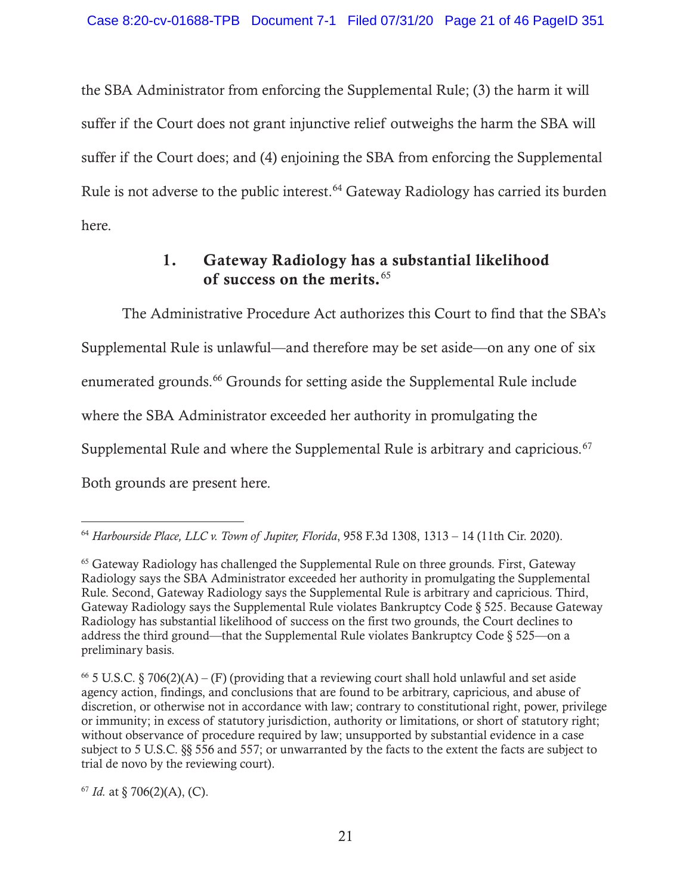the SBA Administrator from enforcing the Supplemental Rule; (3) the harm it will suffer if the Court does not grant injunctive relief outweighs the harm the SBA will suffer if the Court does; and (4) enjoining the SBA from enforcing the Supplemental Rule is not adverse to the public interest.<sup>64</sup> Gateway Radiology has carried its burden here.

# 1. Gateway Radiology has a substantial likelihood of success on the merits.<sup>65</sup>

The Administrative Procedure Act authorizes this Court to find that the SBA's Supplemental Rule is unlawful—and therefore may be set aside—on any one of six enumerated grounds.66 Grounds for setting aside the Supplemental Rule include where the SBA Administrator exceeded her authority in promulgating the Supplemental Rule and where the Supplemental Rule is arbitrary and capricious.<sup>67</sup> Both grounds are present here.

 $67$  *Id.* at § 706(2)(A), (C).

<sup>64</sup> *Harbourside Place, LLC v. Town of Jupiter, Florida*, 958 F.3d 1308, 1313 – 14 (11th Cir. 2020).

<sup>&</sup>lt;sup>65</sup> Gateway Radiology has challenged the Supplemental Rule on three grounds. First, Gateway Radiology says the SBA Administrator exceeded her authority in promulgating the Supplemental Rule. Second, Gateway Radiology says the Supplemental Rule is arbitrary and capricious. Third, Gateway Radiology says the Supplemental Rule violates Bankruptcy Code § 525. Because Gateway Radiology has substantial likelihood of success on the first two grounds, the Court declines to address the third ground—that the Supplemental Rule violates Bankruptcy Code  $\S 525$ —on a preliminary basis.

<sup>&</sup>lt;sup>66</sup> 5 U.S.C. § 706(2)(A) – (F) (providing that a reviewing court shall hold unlawful and set aside agency action, findings, and conclusions that are found to be arbitrary, capricious, and abuse of discretion, or otherwise not in accordance with law; contrary to constitutional right, power, privilege or immunity; in excess of statutory jurisdiction, authority or limitations, or short of statutory right; without observance of procedure required by law; unsupported by substantial evidence in a case subject to 5 U.S.C. §§ 556 and 557; or unwarranted by the facts to the extent the facts are subject to trial de novo by the reviewing court).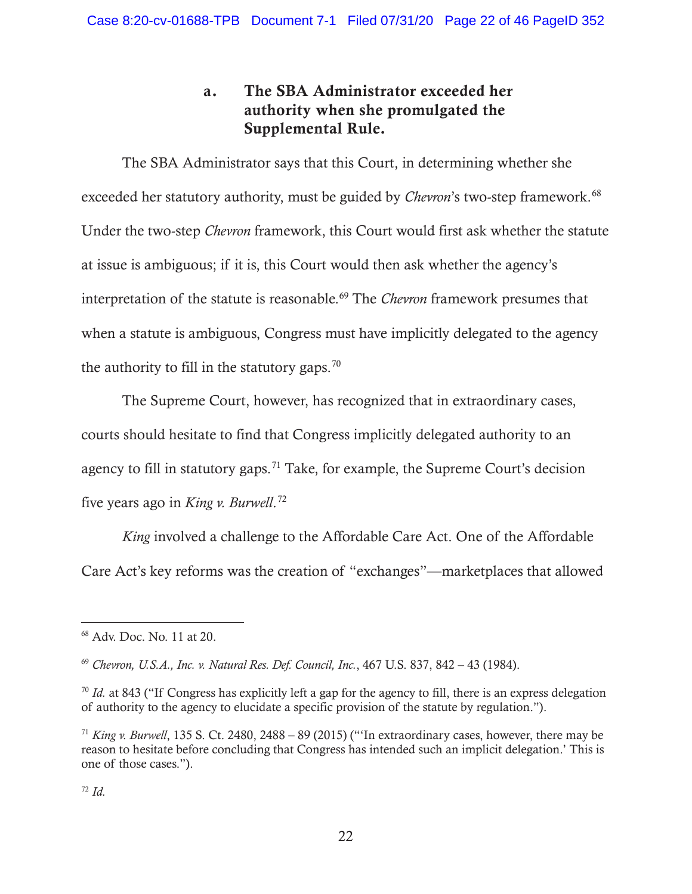# a. The SBA Administrator exceeded her authority when she promulgated the Supplemental Rule.

The SBA Administrator says that this Court, in determining whether she exceeded her statutory authority, must be guided by *Chevron*'s two-step framework.<sup>68</sup> Under the two-step *Chevron* framework, this Court would first ask whether the statute at issue is ambiguous; if it is, this Court would then ask whether the agency's interpretation of the statute is reasonable.<sup>69</sup> The *Chevron* framework presumes that when a statute is ambiguous, Congress must have implicitly delegated to the agency the authority to fill in the statutory gaps.<sup>70</sup>

The Supreme Court, however, has recognized that in extraordinary cases, courts should hesitate to find that Congress implicitly delegated authority to an agency to fill in statutory gaps.71 Take, for example, the Supreme Court's decision five years ago in *King v. Burwell*. 72

*King* involved a challenge to the Affordable Care Act. One of the Affordable Care Act's key reforms was the creation of "exchanges"—marketplaces that allowed

<sup>68</sup> Adv. Doc. No. 11 at 20.

<sup>69</sup> *Chevron, U.S.A., Inc. v. Natural Res. Def. Council, Inc.*, 467 U.S. 837, 842 – 43 (1984).

<sup>&</sup>lt;sup>70</sup> *Id.* at 843 ("If Congress has explicitly left a gap for the agency to fill, there is an express delegation of authority to the agency to elucidate a specific provision of the statute by regulation.").

<sup>71</sup> *King v. Burwell*, 135 S. Ct. 2480, 2488 – 89 (2015) ("'In extraordinary cases, however, there may be reason to hesitate before concluding that Congress has intended such an implicit delegation.' This is one of those cases.").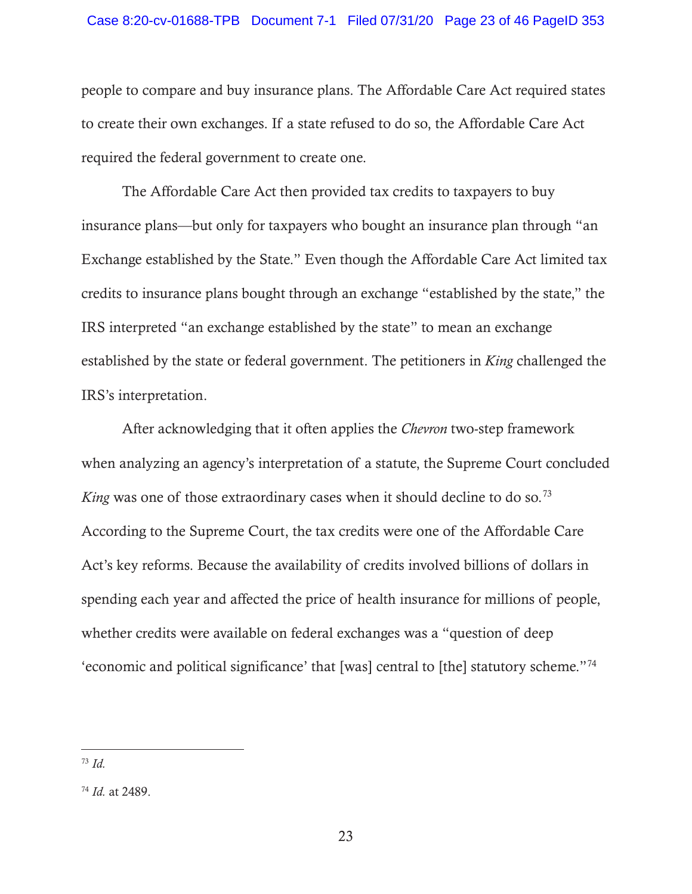people to compare and buy insurance plans. The Affordable Care Act required states to create their own exchanges. If a state refused to do so, the Affordable Care Act required the federal government to create one.

The Affordable Care Act then provided tax credits to taxpayers to buy insurance plans—but only for taxpayers who bought an insurance plan through "an Exchange established by the State." Even though the Affordable Care Act limited tax credits to insurance plans bought through an exchange "established by the state," the IRS interpreted "an exchange established by the state" to mean an exchange established by the state or federal government. The petitioners in *King* challenged the IRS's interpretation.

After acknowledging that it often applies the *Chevron* two-step framework when analyzing an agency's interpretation of a statute, the Supreme Court concluded *King* was one of those extraordinary cases when it should decline to do so.<sup>73</sup> According to the Supreme Court, the tax credits were one of the Affordable Care Act's key reforms. Because the availability of credits involved billions of dollars in spending each year and affected the price of health insurance for millions of people, whether credits were available on federal exchanges was a "question of deep 'economic and political significance' that [was] central to [the] statutory scheme."74

<sup>73</sup> *Id.*

<sup>74</sup> *Id.* at 2489.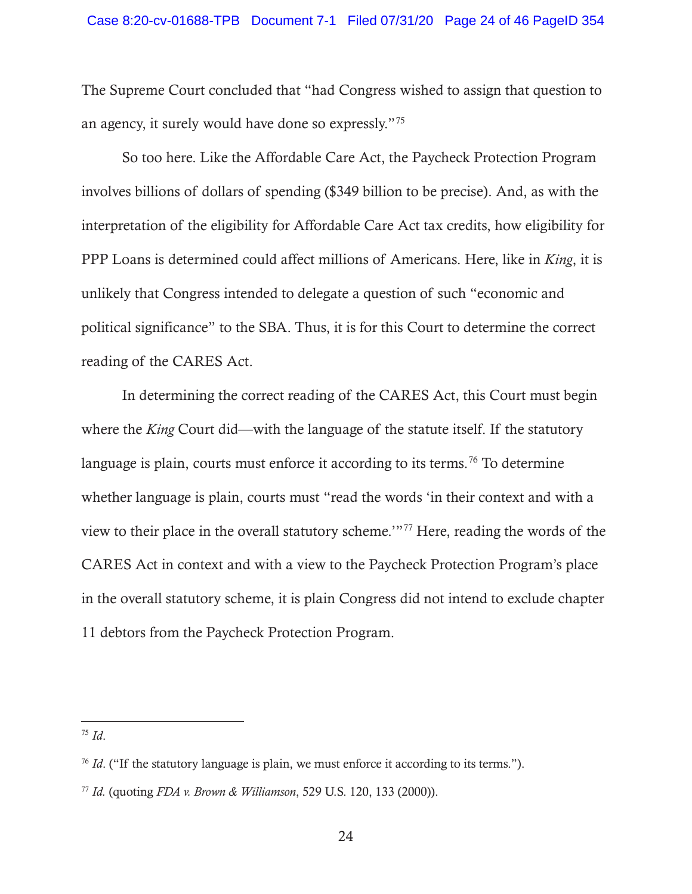The Supreme Court concluded that "had Congress wished to assign that question to an agency, it surely would have done so expressly."75

So too here. Like the Affordable Care Act, the Paycheck Protection Program involves billions of dollars of spending (\$349 billion to be precise). And, as with the interpretation of the eligibility for Affordable Care Act tax credits, how eligibility for PPP Loans is determined could affect millions of Americans. Here, like in *King*, it is unlikely that Congress intended to delegate a question of such "economic and political significance" to the SBA. Thus, it is for this Court to determine the correct reading of the CARES Act.

In determining the correct reading of the CARES Act, this Court must begin where the *King* Court did—with the language of the statute itself. If the statutory language is plain, courts must enforce it according to its terms.<sup>76</sup> To determine whether language is plain, courts must "read the words 'in their context and with a view to their place in the overall statutory scheme.'"77 Here, reading the words of the CARES Act in context and with a view to the Paycheck Protection Program's place in the overall statutory scheme, it is plain Congress did not intend to exclude chapter 11 debtors from the Paycheck Protection Program.

<sup>75</sup> *Id*.

<sup>&</sup>lt;sup>76</sup> *Id.* ("If the statutory language is plain, we must enforce it according to its terms.").

<sup>77</sup> *Id.* (quoting *FDA v. Brown & Williamson*, 529 U.S. 120, 133 (2000)).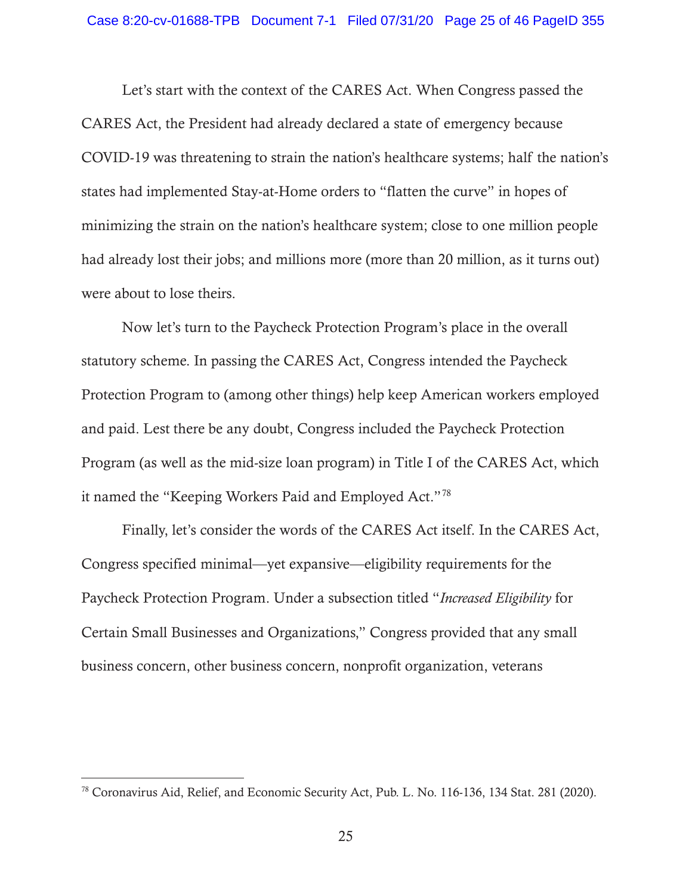Let's start with the context of the CARES Act. When Congress passed the CARES Act, the President had already declared a state of emergency because COVID-19 was threatening to strain the nation's healthcare systems; half the nation's states had implemented Stay-at-Home orders to "flatten the curve" in hopes of minimizing the strain on the nation's healthcare system; close to one million people had already lost their jobs; and millions more (more than 20 million, as it turns out) were about to lose theirs.

Now let's turn to the Paycheck Protection Program's place in the overall statutory scheme. In passing the CARES Act, Congress intended the Paycheck Protection Program to (among other things) help keep American workers employed and paid. Lest there be any doubt, Congress included the Paycheck Protection Program (as well as the mid-size loan program) in Title I of the CARES Act, which it named the "Keeping Workers Paid and Employed Act."78

Finally, let's consider the words of the CARES Act itself. In the CARES Act, Congress specified minimal—yet expansive—eligibility requirements for the Paycheck Protection Program. Under a subsection titled "*Increased Eligibility* for Certain Small Businesses and Organizations," Congress provided that any small business concern, other business concern, nonprofit organization, veterans

<sup>78</sup> Coronavirus Aid, Relief, and Economic Security Act, Pub. L. No. 116-136, 134 Stat. 281 (2020).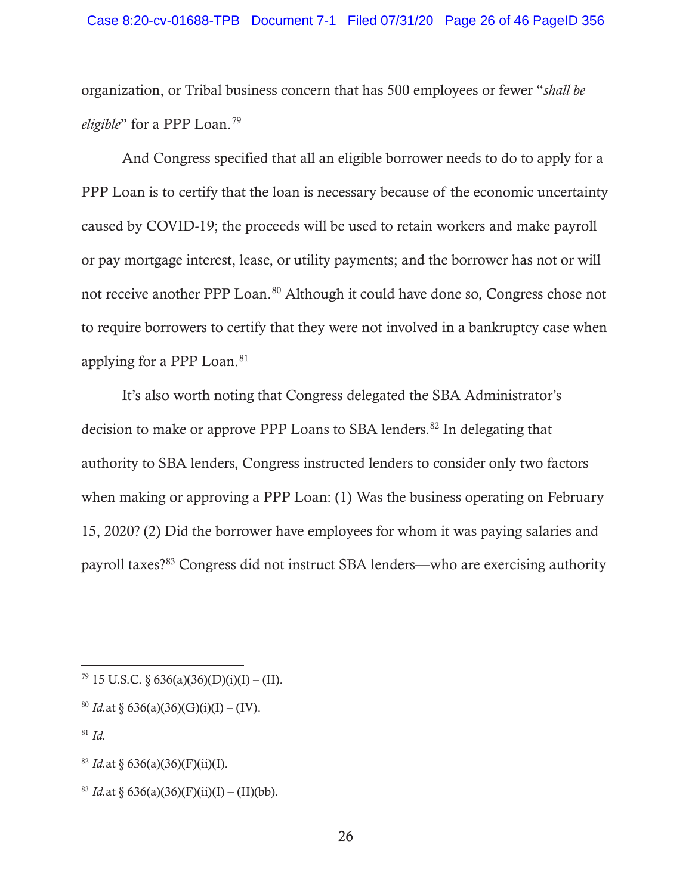#### Case 8:20-cv-01688-TPB Document 7-1 Filed 07/31/20 Page 26 of 46 PageID 356

organization, or Tribal business concern that has 500 employees or fewer "*shall be eligible*" for a PPP Loan.79

And Congress specified that all an eligible borrower needs to do to apply for a PPP Loan is to certify that the loan is necessary because of the economic uncertainty caused by COVID-19; the proceeds will be used to retain workers and make payroll or pay mortgage interest, lease, or utility payments; and the borrower has not or will not receive another PPP Loan.<sup>80</sup> Although it could have done so, Congress chose not to require borrowers to certify that they were not involved in a bankruptcy case when applying for a PPP Loan.<sup>81</sup>

It's also worth noting that Congress delegated the SBA Administrator's decision to make or approve PPP Loans to SBA lenders.<sup>82</sup> In delegating that authority to SBA lenders, Congress instructed lenders to consider only two factors when making or approving a PPP Loan: (1) Was the business operating on February 15, 2020? (2) Did the borrower have employees for whom it was paying salaries and payroll taxes?83 Congress did not instruct SBA lenders—who are exercising authority

 $79$  15 U.S.C. § 636(a)(36)(D)(i)(I) – (II).

<sup>&</sup>lt;sup>80</sup> *Id.*at § 636(a)(36)(G)(i)(I) – (IV).

<sup>81</sup> *Id.*

<sup>&</sup>lt;sup>82</sup> *Id.*at § 636(a)(36)(F)(ii)(I).

<sup>&</sup>lt;sup>83</sup> *Id.*at § 636(a)(36)(F)(ii)(I) – (II)(bb).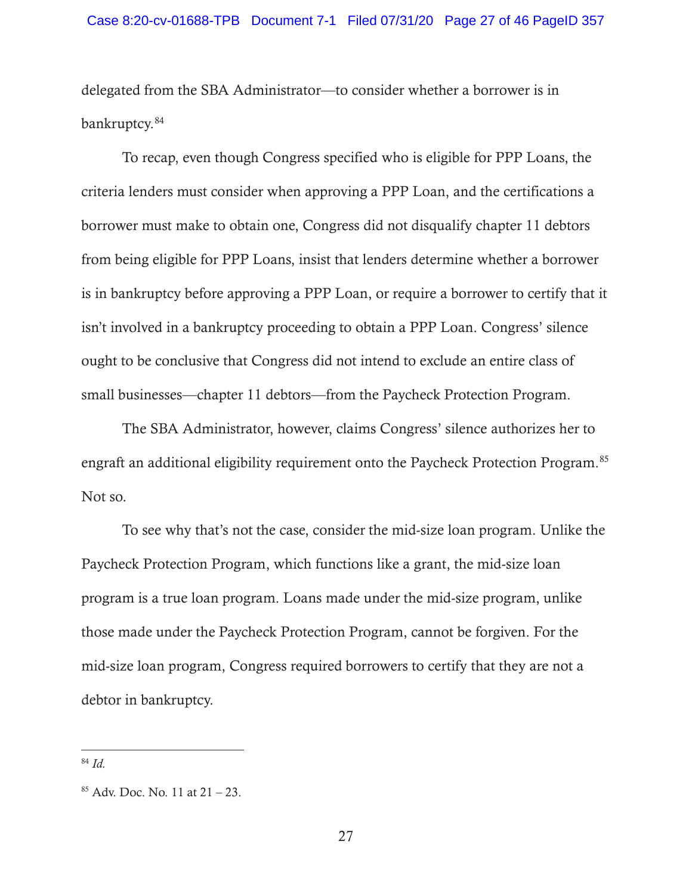delegated from the SBA Administrator—to consider whether a borrower is in bankruptcy. 84

To recap, even though Congress specified who is eligible for PPP Loans, the criteria lenders must consider when approving a PPP Loan, and the certifications a borrower must make to obtain one, Congress did not disqualify chapter 11 debtors from being eligible for PPP Loans, insist that lenders determine whether a borrower is in bankruptcy before approving a PPP Loan, or require a borrower to certify that it isn't involved in a bankruptcy proceeding to obtain a PPP Loan. Congress' silence ought to be conclusive that Congress did not intend to exclude an entire class of small businesses—chapter 11 debtors—from the Paycheck Protection Program.

The SBA Administrator, however, claims Congress' silence authorizes her to engraft an additional eligibility requirement onto the Paycheck Protection Program.85 Not so.

To see why that's not the case, consider the mid-size loan program. Unlike the Paycheck Protection Program, which functions like a grant, the mid-size loan program is a true loan program. Loans made under the mid-size program, unlike those made under the Paycheck Protection Program, cannot be forgiven. For the mid-size loan program, Congress required borrowers to certify that they are not a debtor in bankruptcy.

<sup>84</sup> *Id.*

 $85$  Adv. Doc. No. 11 at  $21 - 23$ .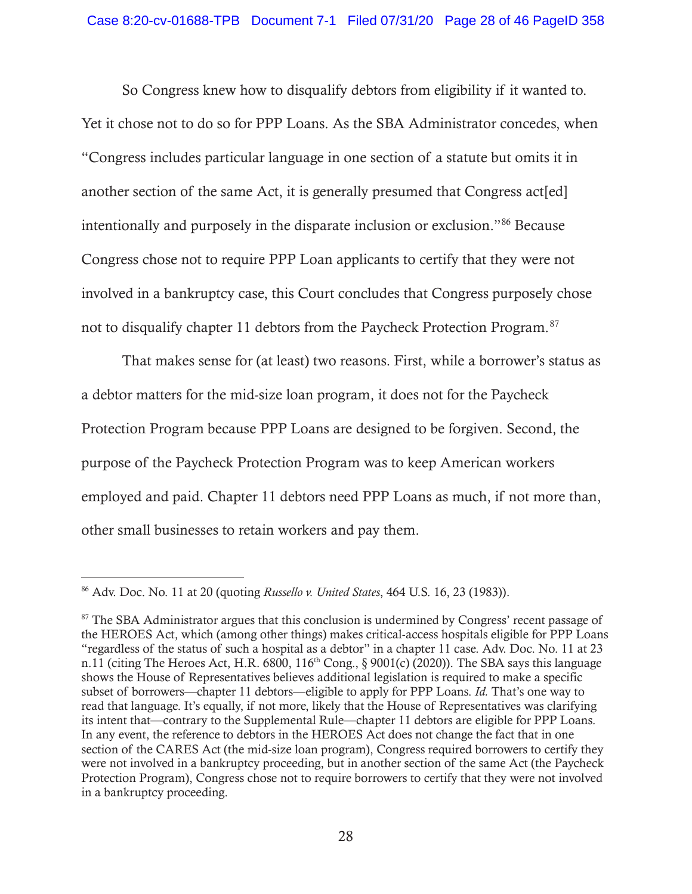So Congress knew how to disqualify debtors from eligibility if it wanted to. Yet it chose not to do so for PPP Loans. As the SBA Administrator concedes, when "Congress includes particular language in one section of a statute but omits it in another section of the same Act, it is generally presumed that Congress act [ed] intentionally and purposely in the disparate inclusion or exclusion."86 Because Congress chose not to require PPP Loan applicants to certify that they were not involved in a bankruptcy case, this Court concludes that Congress purposely chose not to disqualify chapter 11 debtors from the Paycheck Protection Program.87

That makes sense for (at least) two reasons. First, while a borrower's status as a debtor matters for the mid-size loan program, it does not for the Paycheck Protection Program because PPP Loans are designed to be forgiven. Second, the purpose of the Paycheck Protection Program was to keep American workers employed and paid. Chapter 11 debtors need PPP Loans as much, if not more than, other small businesses to retain workers and pay them.

<sup>86</sup> Adv. Doc. No. 11 at 20 (quoting *Russello v. United States*, 464 U.S. 16, 23 (1983)).

<sup>&</sup>lt;sup>87</sup> The SBA Administrator argues that this conclusion is undermined by Congress' recent passage of the HEROES Act, which (among other things) makes critical-access hospitals eligible for PPP Loans "regardless of the status of such a hospital as a debtor" in a chapter 11 case. Adv. Doc. No. 11 at 23 n.11 (citing The Heroes Act, H.R. 6800,  $116<sup>th</sup>$  Cong., § 9001(c) (2020)). The SBA says this language shows the House of Representatives believes additional legislation is required to make a specific subset of borrowers—chapter 11 debtors—eligible to apply for PPP Loans. *Id.* That's one way to read that language. It's equally, if not more, likely that the House of Representatives was clarifying its intent that—contrary to the Supplemental Rule—chapter 11 debtors are eligible for PPP Loans. In any event, the reference to debtors in the HEROES Act does not change the fact that in one section of the CARES Act (the mid-size loan program), Congress required borrowers to certify they were not involved in a bankruptcy proceeding, but in another section of the same Act (the Paycheck Protection Program), Congress chose not to require borrowers to certify that they were not involved in a bankruptcy proceeding.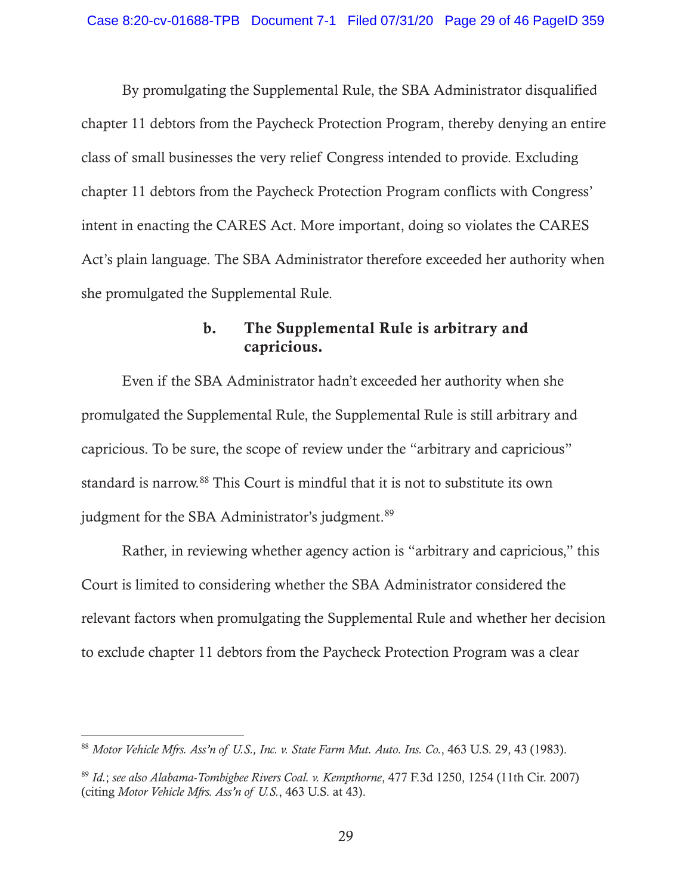By promulgating the Supplemental Rule, the SBA Administrator disqualified chapter 11 debtors from the Paycheck Protection Program, thereby denying an entire class of small businesses the very relief Congress intended to provide. Excluding chapter 11 debtors from the Paycheck Protection Program conflicts with Congress' intent in enacting the CARES Act. More important, doing so violates the CARES Act's plain language. The SBA Administrator therefore exceeded her authority when she promulgated the Supplemental Rule.

## b. The Supplemental Rule is arbitrary and capricious.

Even if the SBA Administrator hadn't exceeded her authority when she promulgated the Supplemental Rule, the Supplemental Rule is still arbitrary and capricious. To be sure, the scope of review under the "arbitrary and capricious" standard is narrow.88 This Court is mindful that it is not to substitute its own judgment for the SBA Administrator's judgment.<sup>89</sup>

Rather, in reviewing whether agency action is "arbitrary and capricious," this Court is limited to considering whether the SBA Administrator considered the relevant factors when promulgating the Supplemental Rule and whether her decision to exclude chapter 11 debtors from the Paycheck Protection Program was a clear

<sup>88</sup> *Motor Vehicle Mfrs. Ass'n of U.S., Inc. v. State Farm Mut. Auto. Ins. Co.*, 463 U.S. 29, 43 (1983).

<sup>89</sup> *Id.*; *see also Alabama-Tombigbee Rivers Coal. v. Kempthorne*, 477 F.3d 1250, 1254 (11th Cir. 2007) (citing *Motor Vehicle Mfrs. Ass'n of U.S.*, 463 U.S. at 43).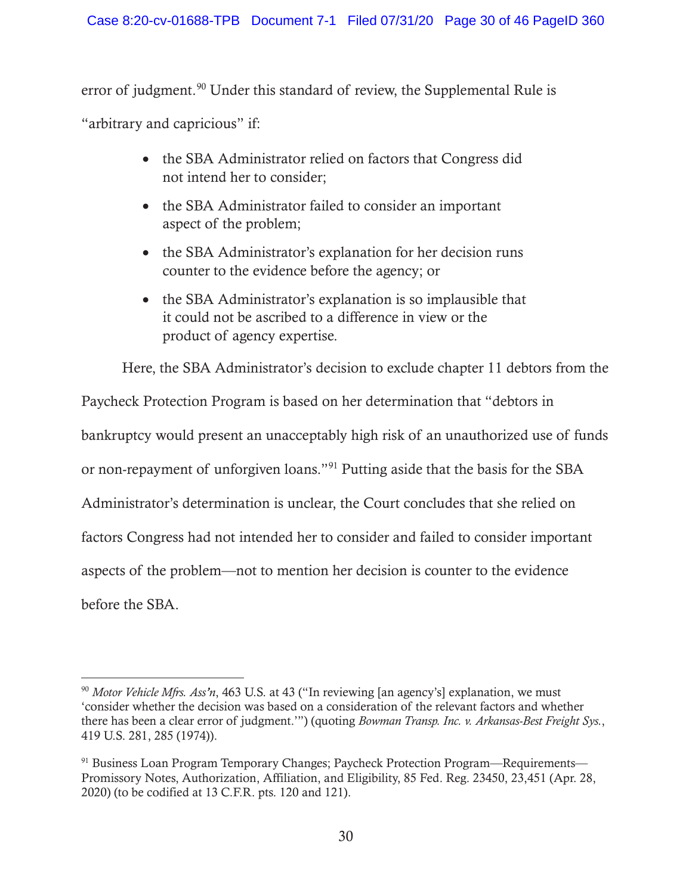error of judgment.<sup>90</sup> Under this standard of review, the Supplemental Rule is

"arbitrary and capricious" if:

- the SBA Administrator relied on factors that Congress did not intend her to consider;
- the SBA Administrator failed to consider an important aspect of the problem;
- the SBA Administrator's explanation for her decision runs counter to the evidence before the agency; or
- $\bullet$  the SBA Administrator's explanation is so implausible that it could not be ascribed to a difference in view or the product of agency expertise.

Here, the SBA Administrator's decision to exclude chapter 11 debtors from the

Paycheck Protection Program is based on her determination that "debtors in bankruptcy would present an unacceptably high risk of an unauthorized use of funds or non-repayment of unforgiven loans."91 Putting aside that the basis for the SBA Administrator's determination is unclear, the Court concludes that she relied on factors Congress had not intended her to consider and failed to consider important aspects of the problem—not to mention her decision is counter to the evidence before the SBA.

<sup>90</sup> *Motor Vehicle Mfrs. Ass'n*, 463 U.S. at 43 ("In reviewing [an agency's] explanation, we must 'consider whether the decision was based on a consideration of the relevant factors and whether there has been a clear error of judgment.'") (quoting *Bowman Transp. Inc. v. Arkansas-Best Freight Sys.*, 419 U.S. 281, 285 (1974)).

<sup>91</sup> Business Loan Program Temporary Changes; Paycheck Protection Program—Requirements— Promissory Notes, Authorization, Affiliation, and Eligibility, 85 Fed. Reg. 23450, 23,451 (Apr. 28, 2020) (to be codified at 13 C.F.R. pts. 120 and 121).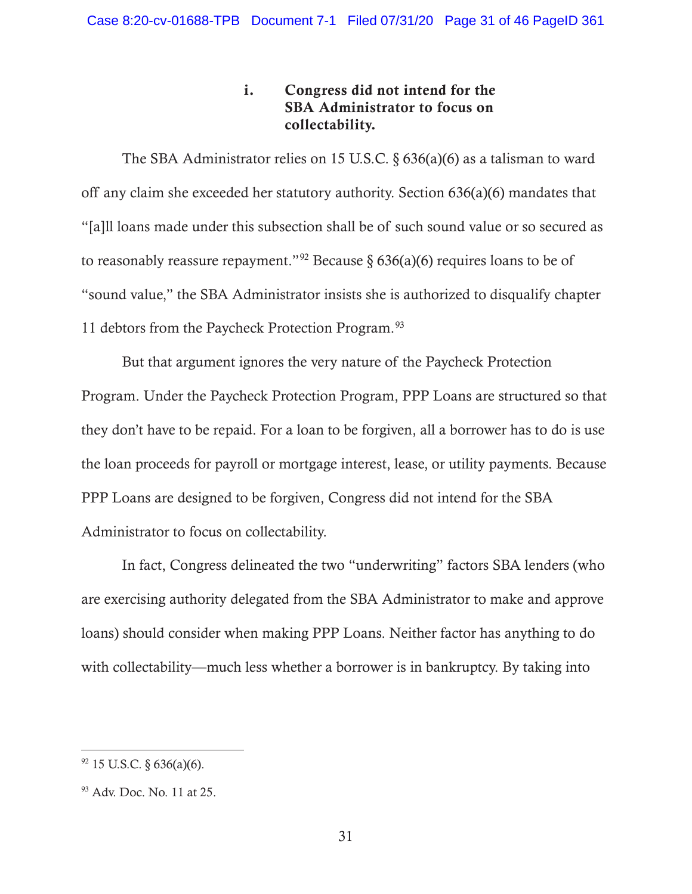## i. Congress did not intend for the SBA Administrator to focus on collectability.

The SBA Administrator relies on 15 U.S.C. § 636(a)(6) as a talisman to ward off any claim she exceeded her statutory authority. Section 636(a)(6) mandates that "[a]ll loans made under this subsection shall be of such sound value or so secured as to reasonably reassure repayment."<sup>92</sup> Because § 636(a)(6) requires loans to be of "sound value," the SBA Administrator insists she is authorized to disqualify chapter 11 debtors from the Paycheck Protection Program.<sup>93</sup>

But that argument ignores the very nature of the Paycheck Protection Program. Under the Paycheck Protection Program, PPP Loans are structured so that they don't have to be repaid. For a loan to be forgiven, all a borrower has to do is use the loan proceeds for payroll or mortgage interest, lease, or utility payments. Because PPP Loans are designed to be forgiven, Congress did not intend for the SBA Administrator to focus on collectability.

In fact, Congress delineated the two "underwriting" factors SBA lenders (who are exercising authority delegated from the SBA Administrator to make and approve loans) should consider when making PPP Loans. Neither factor has anything to do with collectability—much less whether a borrower is in bankruptcy. By taking into

 $92$  15 U.S.C. § 636(a)(6).

<sup>93</sup> Adv. Doc. No. 11 at 25.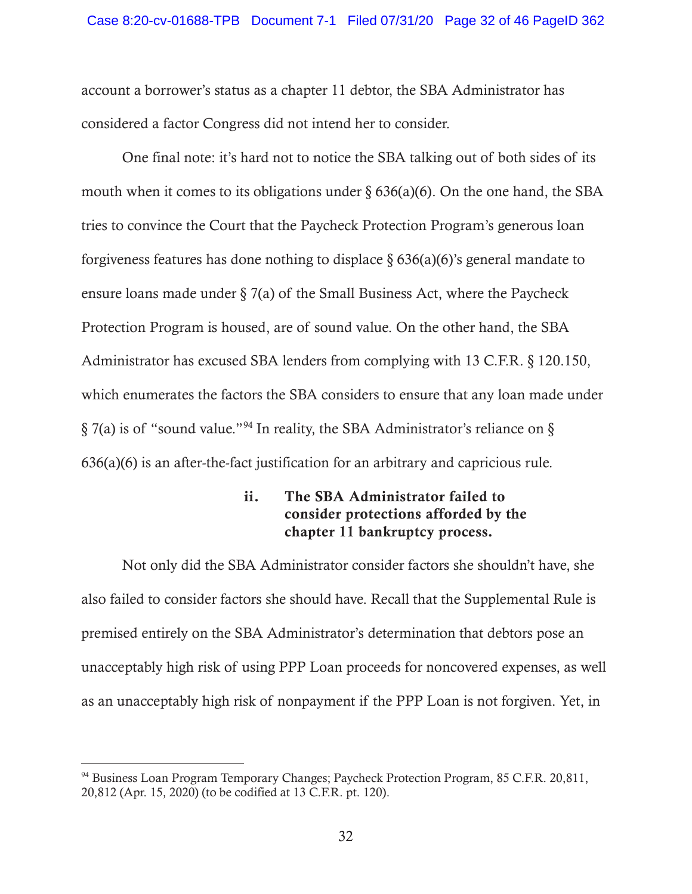account a borrower's status as a chapter 11 debtor, the SBA Administrator has considered a factor Congress did not intend her to consider.

One final note: it's hard not to notice the SBA talking out of both sides of its mouth when it comes to its obligations under  $\S 636(a)(6)$ . On the one hand, the SBA tries to convince the Court that the Paycheck Protection Program's generous loan forgiveness features has done nothing to displace  $\S 636(a)(6)$ 's general mandate to ensure loans made under  $\S$  7(a) of the Small Business Act, where the Paycheck Protection Program is housed, are of sound value. On the other hand, the SBA Administrator has excused SBA lenders from complying with 13 C.F.R. § 120.150, which enumerates the factors the SBA considers to ensure that any loan made under § 7(a) is of "sound value."94 In reality, the SBA Administrator's reliance on § 636(a)(6) is an after-the-fact justification for an arbitrary and capricious rule.

### ii. The SBA Administrator failed to consider protections afforded by the chapter 11 bankruptcy process.

Not only did the SBA Administrator consider factors she shouldn't have, she also failed to consider factors she should have. Recall that the Supplemental Rule is premised entirely on the SBA Administrator's determination that debtors pose an unacceptably high risk of using PPP Loan proceeds for noncovered expenses, as well as an unacceptably high risk of nonpayment if the PPP Loan is not forgiven. Yet, in

<sup>&</sup>lt;sup>94</sup> Business Loan Program Temporary Changes; Paycheck Protection Program, 85 C.F.R. 20,811, 20,812 (Apr. 15, 2020) (to be codified at 13 C.F.R. pt. 120).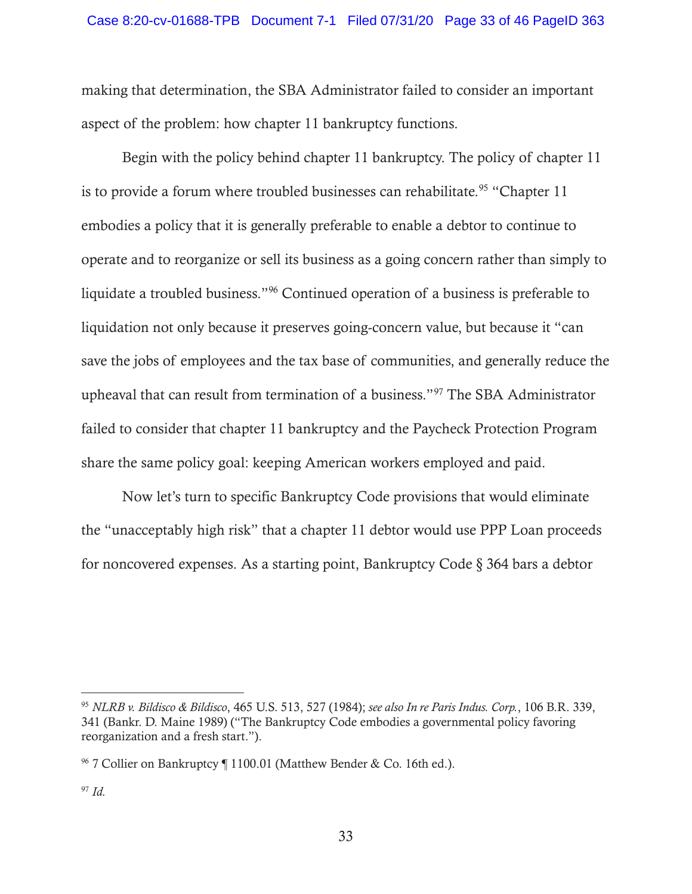making that determination, the SBA Administrator failed to consider an important aspect of the problem: how chapter 11 bankruptcy functions.

Begin with the policy behind chapter 11 bankruptcy. The policy of chapter 11 is to provide a forum where troubled businesses can rehabilitate.<sup>95</sup> "Chapter 11 embodies a policy that it is generally preferable to enable a debtor to continue to operate and to reorganize or sell its business as a going concern rather than simply to liquidate a troubled business."96 Continued operation of a business is preferable to liquidation not only because it preserves going-concern value, but because it "can save the jobs of employees and the tax base of communities, and generally reduce the upheaval that can result from termination of a business."97 The SBA Administrator failed to consider that chapter 11 bankruptcy and the Paycheck Protection Program share the same policy goal: keeping American workers employed and paid.

Now let's turn to specific Bankruptcy Code provisions that would eliminate the "unacceptably high risk" that a chapter 11 debtor would use PPP Loan proceeds for noncovered expenses. As a starting point, Bankruptcy Code § 364 bars a debtor

<sup>95</sup> *NLRB v. Bildisco & Bildisco*, 465 U.S. 513, 527 (1984); *see also In re Paris Indus. Corp.*, 106 B.R. 339, 341 (Bankr. D. Maine 1989) ("The Bankruptcy Code embodies a governmental policy favoring reorganization and a fresh start.").

<sup>&</sup>lt;sup>96</sup> 7 Collier on Bankruptcy ¶ 1100.01 (Matthew Bender & Co. 16th ed.).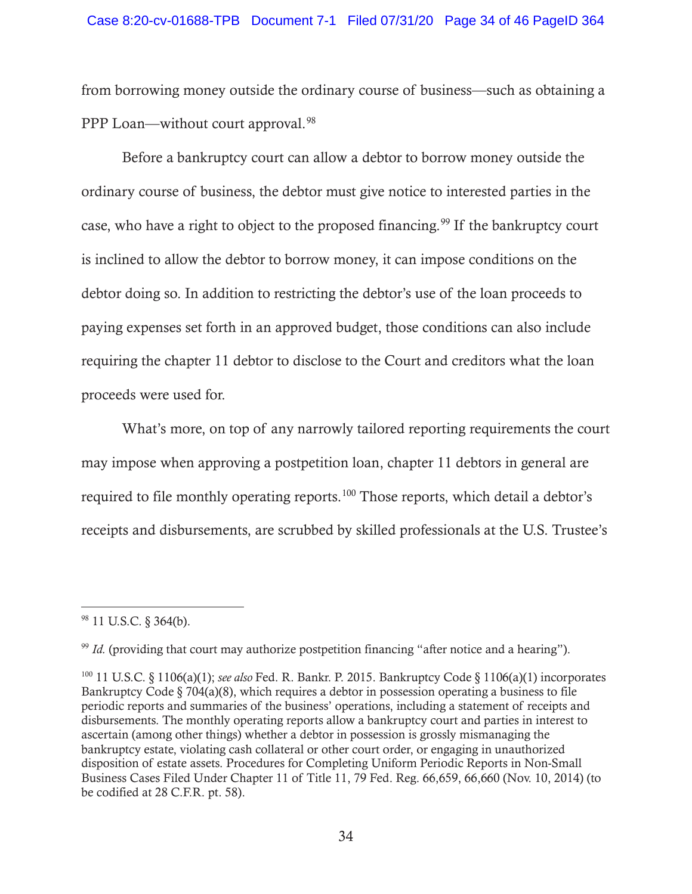from borrowing money outside the ordinary course of business—such as obtaining a PPP Loan—without court approval.<sup>98</sup>

Before a bankruptcy court can allow a debtor to borrow money outside the ordinary course of business, the debtor must give notice to interested parties in the case, who have a right to object to the proposed financing.<sup>99</sup> If the bankruptcy court is inclined to allow the debtor to borrow money, it can impose conditions on the debtor doing so. In addition to restricting the debtor's use of the loan proceeds to paying expenses set forth in an approved budget, those conditions can also include requiring the chapter 11 debtor to disclose to the Court and creditors what the loan proceeds were used for.

What's more, on top of any narrowly tailored reporting requirements the court may impose when approving a postpetition loan, chapter 11 debtors in general are required to file monthly operating reports.100 Those reports, which detail a debtor's receipts and disbursements, are scrubbed by skilled professionals at the U.S. Trustee's

<sup>98 11</sup> U.S.C. § 364(b).

<sup>&</sup>lt;sup>99</sup> *Id.* (providing that court may authorize postpetition financing "after notice and a hearing").

<sup>100 11</sup> U.S.C. § 1106(a)(1); *see also* Fed. R. Bankr. P. 2015. Bankruptcy Code § 1106(a)(1) incorporates Bankruptcy Code  $\S 704(a)(8)$ , which requires a debtor in possession operating a business to file periodic reports and summaries of the business' operations, including a statement of receipts and disbursements. The monthly operating reports allow a bankruptcy court and parties in interest to ascertain (among other things) whether a debtor in possession is grossly mismanaging the bankruptcy estate, violating cash collateral or other court order, or engaging in unauthorized disposition of estate assets. Procedures for Completing Uniform Periodic Reports in Non-Small Business Cases Filed Under Chapter 11 of Title 11, 79 Fed. Reg. 66,659, 66,660 (Nov. 10, 2014) (to be codified at 28 C.F.R. pt. 58).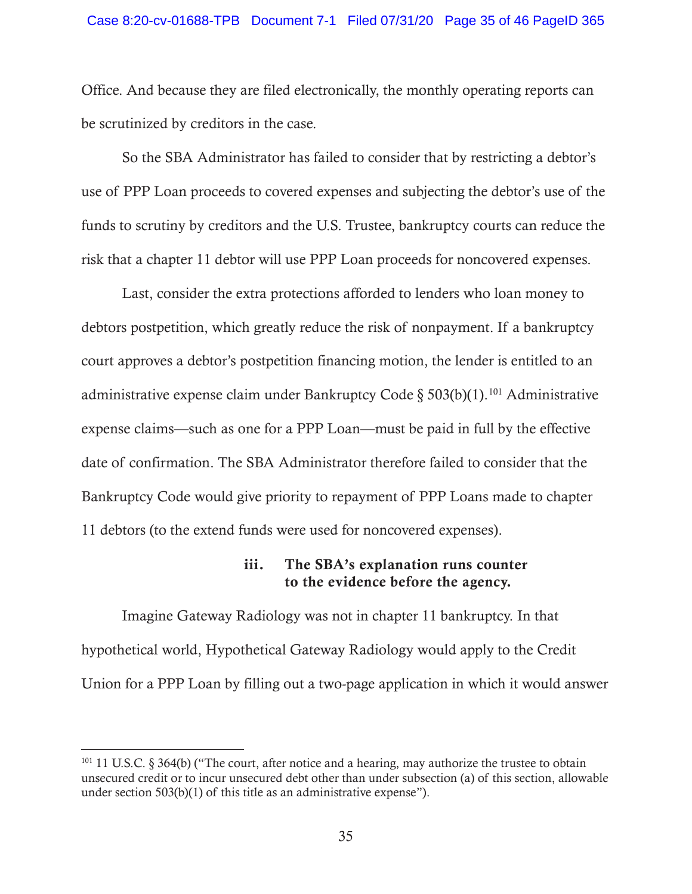Office. And because they are filed electronically, the monthly operating reports can be scrutinized by creditors in the case.

So the SBA Administrator has failed to consider that by restricting a debtor's use of PPP Loan proceeds to covered expenses and subjecting the debtor's use of the funds to scrutiny by creditors and the U.S. Trustee, bankruptcy courts can reduce the risk that a chapter 11 debtor will use PPP Loan proceeds for noncovered expenses.

Last, consider the extra protections afforded to lenders who loan money to debtors postpetition, which greatly reduce the risk of nonpayment. If a bankruptcy court approves a debtor's postpetition financing motion, the lender is entitled to an administrative expense claim under Bankruptcy Code § 503(b)(1).<sup>101</sup> Administrative expense claims—such as one for a PPP Loan—must be paid in full by the effective date of confirmation. The SBA Administrator therefore failed to consider that the Bankruptcy Code would give priority to repayment of PPP Loans made to chapter 11 debtors (to the extend funds were used for noncovered expenses).

### iii. The SBA's explanation runs counter to the evidence before the agency.

Imagine Gateway Radiology was not in chapter 11 bankruptcy. In that hypothetical world, Hypothetical Gateway Radiology would apply to the Credit Union for a PPP Loan by filling out a two-page application in which it would answer

<sup>&</sup>lt;sup>101</sup> 11 U.S.C. § 364(b) ("The court, after notice and a hearing, may authorize the trustee to obtain unsecured credit or to incur unsecured debt other than under subsection (a) of this section, allowable under section 503(b)(1) of this title as an administrative expense").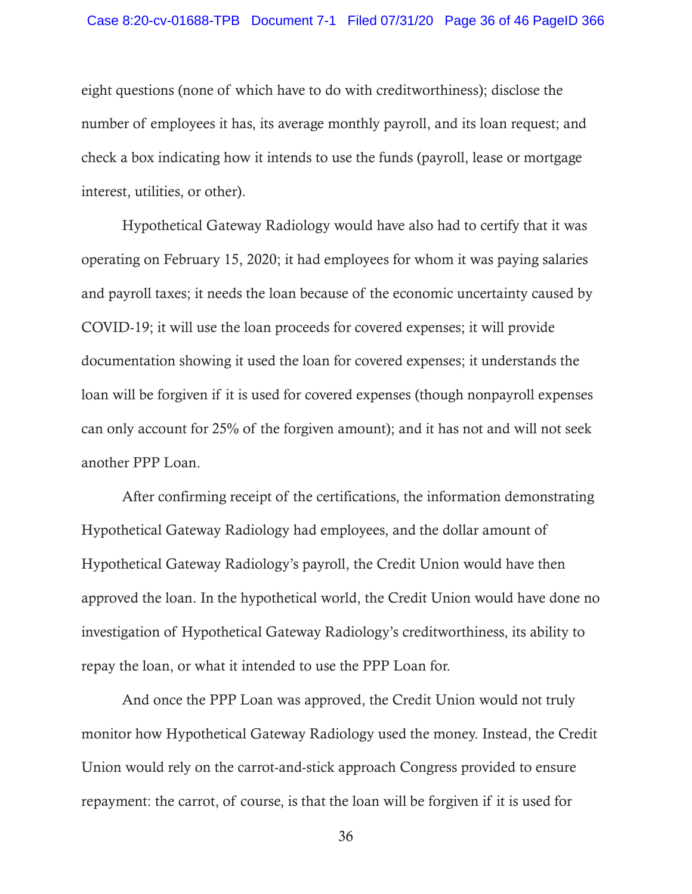#### Case 8:20-cv-01688-TPB Document 7-1 Filed 07/31/20 Page 36 of 46 PageID 366

eight questions (none of which have to do with creditworthiness); disclose the number of employees it has, its average monthly payroll, and its loan request; and check a box indicating how it intends to use the funds (payroll, lease or mortgage interest, utilities, or other).

Hypothetical Gateway Radiology would have also had to certify that it was operating on February 15, 2020; it had employees for whom it was paying salaries and payroll taxes; it needs the loan because of the economic uncertainty caused by COVID-19; it will use the loan proceeds for covered expenses; it will provide documentation showing it used the loan for covered expenses; it understands the loan will be forgiven if it is used for covered expenses (though nonpayroll expenses can only account for 25% of the forgiven amount); and it has not and will not seek another PPP Loan.

After confirming receipt of the certifications, the information demonstrating Hypothetical Gateway Radiology had employees, and the dollar amount of Hypothetical Gateway Radiology's payroll, the Credit Union would have then approved the loan. In the hypothetical world, the Credit Union would have done no investigation of Hypothetical Gateway Radiology's creditworthiness, its ability to repay the loan, or what it intended to use the PPP Loan for.

And once the PPP Loan was approved, the Credit Union would not truly monitor how Hypothetical Gateway Radiology used the money. Instead, the Credit Union would rely on the carrot-and-stick approach Congress provided to ensure repayment: the carrot, of course, is that the loan will be forgiven if it is used for

36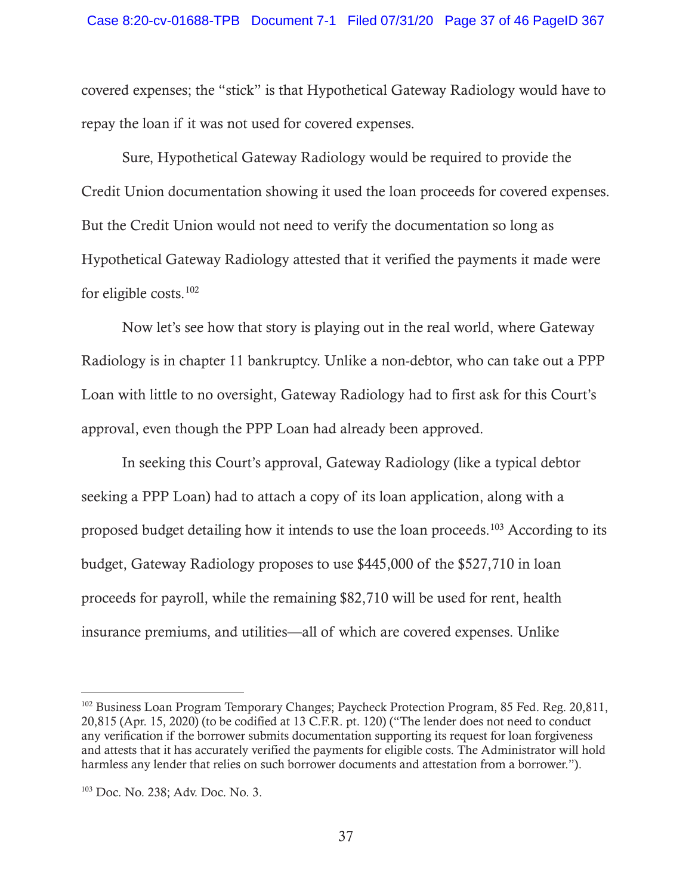covered expenses; the "stick" is that Hypothetical Gateway Radiology would have to repay the loan if it was not used for covered expenses.

Sure, Hypothetical Gateway Radiology would be required to provide the Credit Union documentation showing it used the loan proceeds for covered expenses. But the Credit Union would not need to verify the documentation so long as Hypothetical Gateway Radiology attested that it verified the payments it made were for eligible costs.102

Now let's see how that story is playing out in the real world, where Gateway Radiology is in chapter 11 bankruptcy. Unlike a non-debtor, who can take out a PPP Loan with little to no oversight, Gateway Radiology had to first ask for this Court's approval, even though the PPP Loan had already been approved.

In seeking this Court's approval, Gateway Radiology (like a typical debtor seeking a PPP Loan) had to attach a copy of its loan application, along with a proposed budget detailing how it intends to use the loan proceeds.103 According to its budget, Gateway Radiology proposes to use \$445,000 of the \$527,710 in loan proceeds for payroll, while the remaining \$82,710 will be used for rent, health insurance premiums, and utilities—all of which are covered expenses. Unlike

<sup>&</sup>lt;sup>102</sup> Business Loan Program Temporary Changes; Paycheck Protection Program, 85 Fed. Reg. 20,811, 20,815 (Apr. 15, 2020) (to be codified at 13 C.F.R. pt. 120) ("The lender does not need to conduct any verification if the borrower submits documentation supporting its request for loan forgiveness and attests that it has accurately verified the payments for eligible costs. The Administrator will hold harmless any lender that relies on such borrower documents and attestation from a borrower.").

<sup>103</sup> Doc. No. 238; Adv. Doc. No. 3.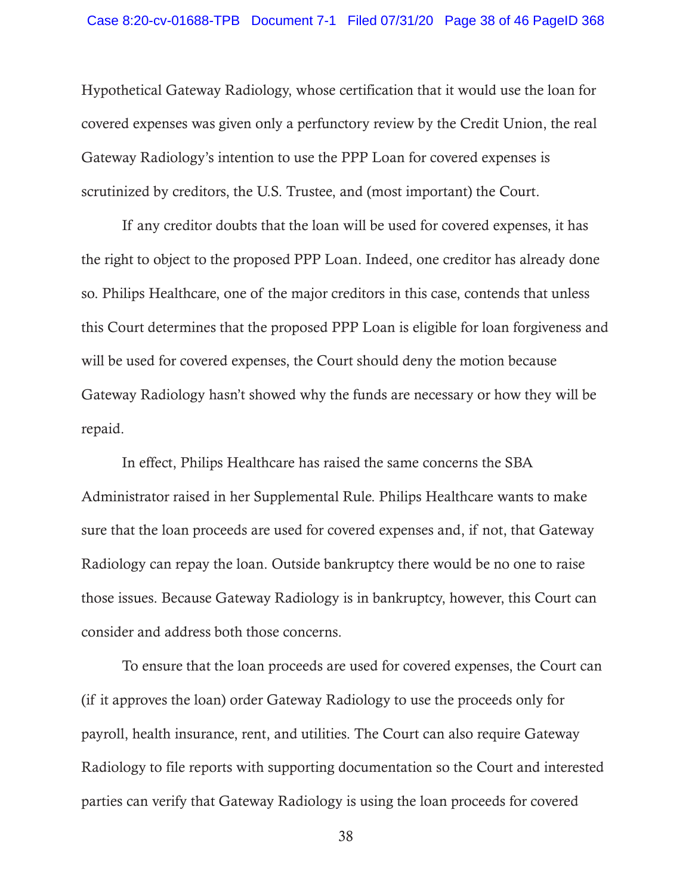Hypothetical Gateway Radiology, whose certification that it would use the loan for covered expenses was given only a perfunctory review by the Credit Union, the real Gateway Radiology's intention to use the PPP Loan for covered expenses is scrutinized by creditors, the U.S. Trustee, and (most important) the Court.

If any creditor doubts that the loan will be used for covered expenses, it has the right to object to the proposed PPP Loan. Indeed, one creditor has already done so. Philips Healthcare, one of the major creditors in this case, contends that unless this Court determines that the proposed PPP Loan is eligible for loan forgiveness and will be used for covered expenses, the Court should deny the motion because Gateway Radiology hasn't showed why the funds are necessary or how they will be repaid.

In effect, Philips Healthcare has raised the same concerns the SBA Administrator raised in her Supplemental Rule. Philips Healthcare wants to make sure that the loan proceeds are used for covered expenses and, if not, that Gateway Radiology can repay the loan. Outside bankruptcy there would be no one to raise those issues. Because Gateway Radiology is in bankruptcy, however, this Court can consider and address both those concerns.

To ensure that the loan proceeds are used for covered expenses, the Court can (if it approves the loan) order Gateway Radiology to use the proceeds only for payroll, health insurance, rent, and utilities. The Court can also require Gateway Radiology to file reports with supporting documentation so the Court and interested parties can verify that Gateway Radiology is using the loan proceeds for covered

38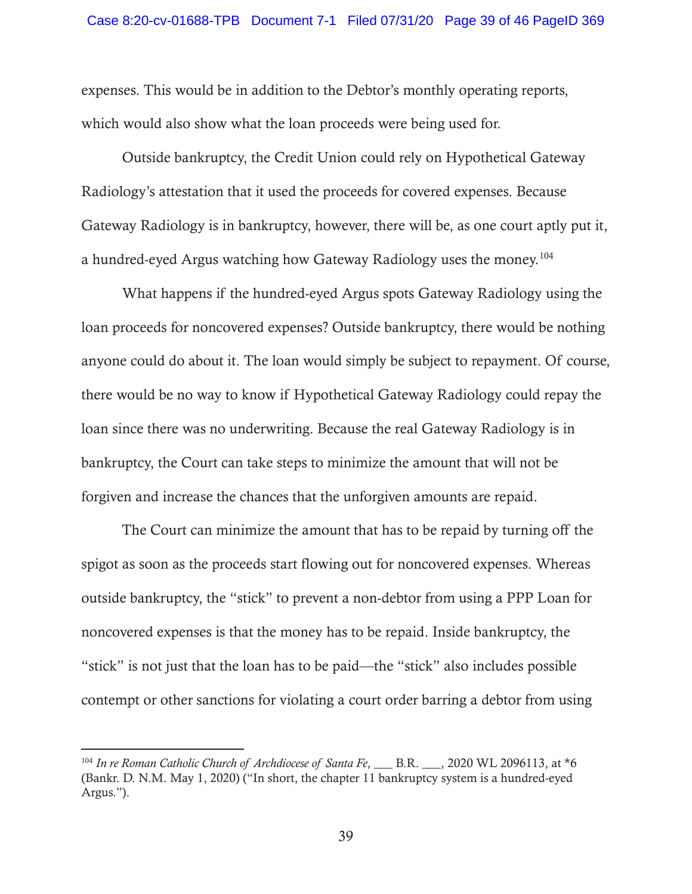expenses. This would be in addition to the Debtor's monthly operating reports, which would also show what the loan proceeds were being used for.

Outside bankruptcy, the Credit Union could rely on Hypothetical Gateway Radiology's attestation that it used the proceeds for covered expenses. Because Gateway Radiology is in bankruptcy, however, there will be, as one court aptly put it, a hundred-eyed Argus watching how Gateway Radiology uses the money.104

What happens if the hundred-eyed Argus spots Gateway Radiology using the loan proceeds for noncovered expenses? Outside bankruptcy, there would be nothing anyone could do about it. The loan would simply be subject to repayment. Of course, there would be no way to know if Hypothetical Gateway Radiology could repay the loan since there was no underwriting. Because the real Gateway Radiology is in bankruptcy, the Court can take steps to minimize the amount that will not be forgiven and increase the chances that the unforgiven amounts are repaid.

The Court can minimize the amount that has to be repaid by turning off the spigot as soon as the proceeds start flowing out for noncovered expenses. Whereas outside bankruptcy, the "stick" to prevent a non-debtor from using a PPP Loan for noncovered expenses is that the money has to be repaid. Inside bankruptcy, the "stick" is not just that the loan has to be paid—the "stick" also includes possible contempt or other sanctions for violating a court order barring a debtor from using

<sup>&</sup>lt;sup>104</sup> In re Roman Catholic Church of Archdiocese of Santa Fe, \_\_\_ B.R. \_\_\_, 2020 WL 2096113, at \*6 (Bankr. D. N.M. May 1, 2020) ("In short, the chapter 11 bankruptcy system is a hundred-eyed Argus.").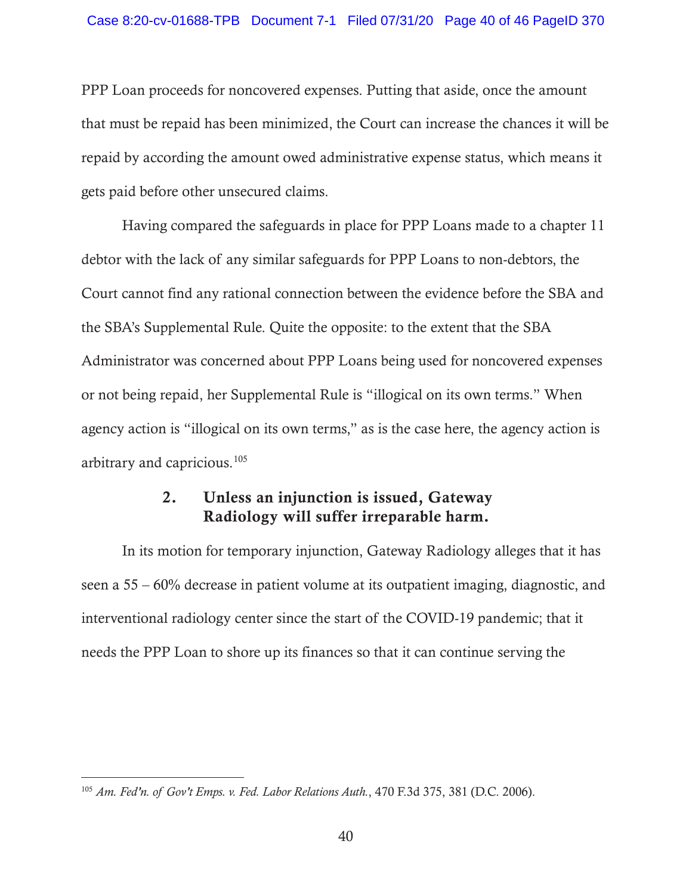PPP Loan proceeds for noncovered expenses. Putting that aside, once the amount that must be repaid has been minimized, the Court can increase the chances it will be repaid by according the amount owed administrative expense status, which means it gets paid before other unsecured claims.

Having compared the safeguards in place for PPP Loans made to a chapter 11 debtor with the lack of any similar safeguards for PPP Loans to non-debtors, the Court cannot find any rational connection between the evidence before the SBA and the SBA's Supplemental Rule. Quite the opposite: to the extent that the SBA Administrator was concerned about PPP Loans being used for noncovered expenses or not being repaid, her Supplemental Rule is "illogical on its own terms." When agency action is "illogical on its own terms," as is the case here, the agency action is arbitrary and capricious.105

# 2. Unless an injunction is issued, Gateway Radiology will suffer irreparable harm.

In its motion for temporary injunction, Gateway Radiology alleges that it has seen a 55 – 60% decrease in patient volume at its outpatient imaging, diagnostic, and interventional radiology center since the start of the COVID-19 pandemic; that it needs the PPP Loan to shore up its finances so that it can continue serving the

<sup>105</sup> *Am. Fed'n. of Gov't Emps. v. Fed. Labor Relations Auth.*, 470 F.3d 375, 381 (D.C. 2006).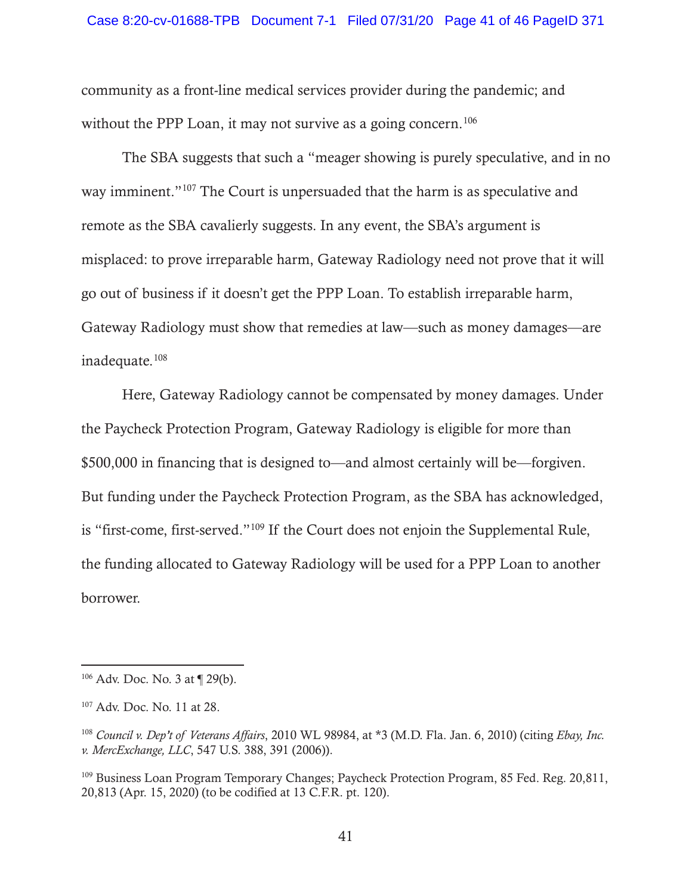community as a front-line medical services provider during the pandemic; and without the PPP Loan, it may not survive as a going concern.<sup>106</sup>

The SBA suggests that such a "meager showing is purely speculative, and in no way imminent."107 The Court is unpersuaded that the harm is as speculative and remote as the SBA cavalierly suggests. In any event, the SBA's argument is misplaced: to prove irreparable harm, Gateway Radiology need not prove that it will go out of business if it doesn't get the PPP Loan. To establish irreparable harm, Gateway Radiology must show that remedies at law—such as money damages—are inadequate.108

Here, Gateway Radiology cannot be compensated by money damages. Under the Paycheck Protection Program, Gateway Radiology is eligible for more than \$500,000 in financing that is designed to—and almost certainly will be—forgiven. But funding under the Paycheck Protection Program, as the SBA has acknowledged, is "first-come, first-served."109 If the Court does not enjoin the Supplemental Rule, the funding allocated to Gateway Radiology will be used for a PPP Loan to another borrower.

<sup>106</sup> Adv. Doc. No. 3 at ¶ 29(b).

<sup>107</sup> Adv. Doc. No. 11 at 28.

<sup>108</sup> *Council v. Dep't of Veterans Affairs*, 2010 WL 98984, at \*3 (M.D. Fla. Jan. 6, 2010) (citing *Ebay, Inc. v. MercExchange, LLC*, 547 U.S. 388, 391 (2006)).

<sup>&</sup>lt;sup>109</sup> Business Loan Program Temporary Changes; Paycheck Protection Program, 85 Fed. Reg. 20,811, 20,813 (Apr. 15, 2020) (to be codified at 13 C.F.R. pt. 120).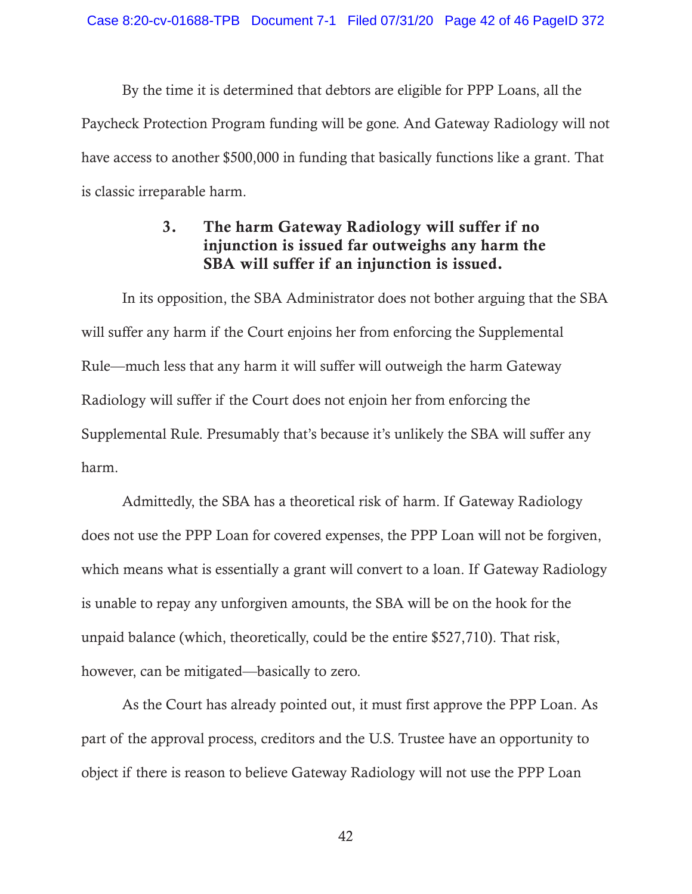By the time it is determined that debtors are eligible for PPP Loans, all the Paycheck Protection Program funding will be gone. And Gateway Radiology will not have access to another \$500,000 in funding that basically functions like a grant. That is classic irreparable harm.

# 3. The harm Gateway Radiology will suffer if no injunction is issued far outweighs any harm the SBA will suffer if an injunction is issued.

In its opposition, the SBA Administrator does not bother arguing that the SBA will suffer any harm if the Court enjoins her from enforcing the Supplemental Rule—much less that any harm it will suffer will outweigh the harm Gateway Radiology will suffer if the Court does not enjoin her from enforcing the Supplemental Rule. Presumably that's because it's unlikely the SBA will suffer any harm.

Admittedly, the SBA has a theoretical risk of harm. If Gateway Radiology does not use the PPP Loan for covered expenses, the PPP Loan will not be forgiven, which means what is essentially a grant will convert to a loan. If Gateway Radiology is unable to repay any unforgiven amounts, the SBA will be on the hook for the unpaid balance (which, theoretically, could be the entire \$527,710). That risk, however, can be mitigated—basically to zero.

As the Court has already pointed out, it must first approve the PPP Loan. As part of the approval process, creditors and the U.S. Trustee have an opportunity to object if there is reason to believe Gateway Radiology will not use the PPP Loan

42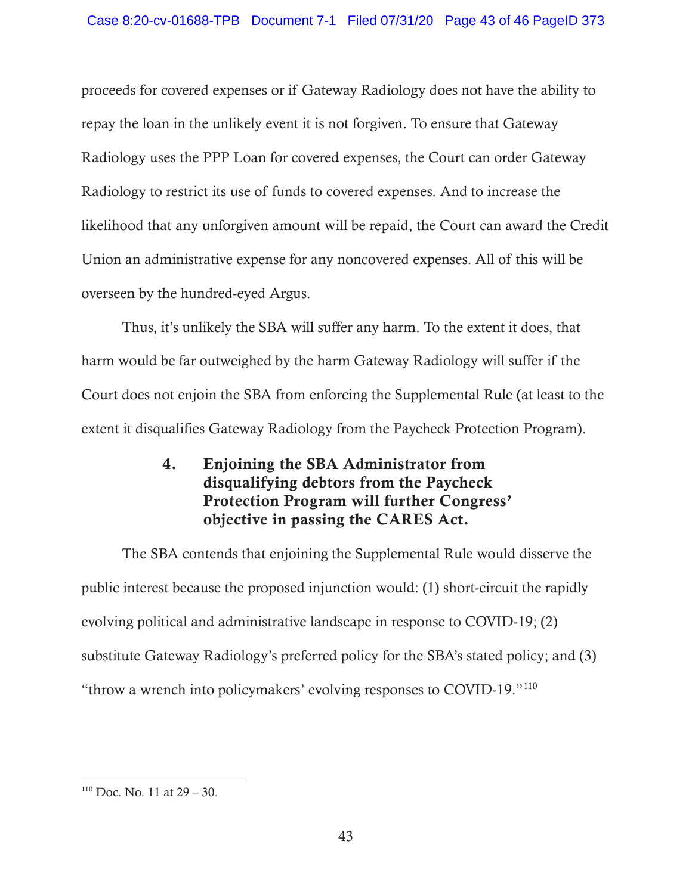proceeds for covered expenses or if Gateway Radiology does not have the ability to repay the loan in the unlikely event it is not forgiven. To ensure that Gateway Radiology uses the PPP Loan for covered expenses, the Court can order Gateway Radiology to restrict its use of funds to covered expenses. And to increase the likelihood that any unforgiven amount will be repaid, the Court can award the Credit Union an administrative expense for any noncovered expenses. All of this will be overseen by the hundred-eyed Argus.

Thus, it's unlikely the SBA will suffer any harm. To the extent it does, that harm would be far outweighed by the harm Gateway Radiology will suffer if the Court does not enjoin the SBA from enforcing the Supplemental Rule (at least to the extent it disqualifies Gateway Radiology from the Paycheck Protection Program).

> 4. Enjoining the SBA Administrator from disqualifying debtors from the Paycheck Protection Program will further Congress' objective in passing the CARES Act.

The SBA contends that enjoining the Supplemental Rule would disserve the public interest because the proposed injunction would: (1) short-circuit the rapidly evolving political and administrative landscape in response to COVID-19; (2) substitute Gateway Radiology's preferred policy for the SBA's stated policy; and (3) "throw a wrench into policymakers' evolving responses to COVID-19."110

 $110$  Doc. No. 11 at  $29 - 30$ .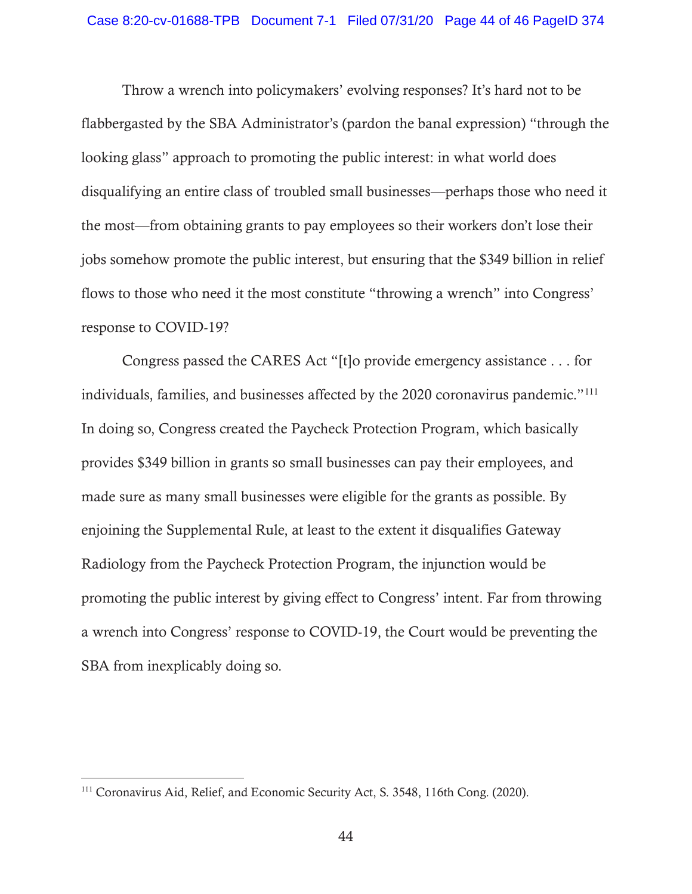Throw a wrench into policymakers' evolving responses? It's hard not to be flabbergasted by the SBA Administrator's (pardon the banal expression) "through the looking glass" approach to promoting the public interest: in what world does disqualifying an entire class of troubled small businesses—perhaps those who need it the most—from obtaining grants to pay employees so their workers don't lose their jobs somehow promote the public interest, but ensuring that the \$349 billion in relief flows to those who need it the most constitute "throwing a wrench" into Congress' response to COVID-19?

Congress passed the CARES Act "[t]o provide emergency assistance . . . for individuals, families, and businesses affected by the 2020 coronavirus pandemic."111 In doing so, Congress created the Paycheck Protection Program, which basically provides \$349 billion in grants so small businesses can pay their employees, and made sure as many small businesses were eligible for the grants as possible. By enjoining the Supplemental Rule, at least to the extent it disqualifies Gateway Radiology from the Paycheck Protection Program, the injunction would be promoting the public interest by giving effect to Congress' intent. Far from throwing a wrench into Congress' response to COVID-19, the Court would be preventing the SBA from inexplicably doing so.

<sup>111</sup> Coronavirus Aid, Relief, and Economic Security Act, S. 3548, 116th Cong. (2020).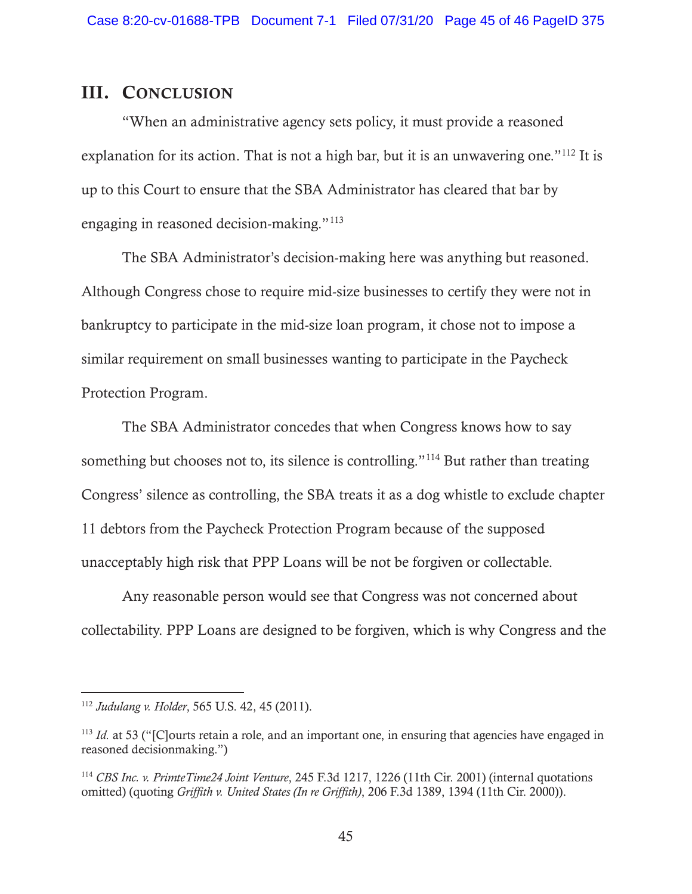# III. CONCLUSION

"When an administrative agency sets policy, it must provide a reasoned explanation for its action. That is not a high bar, but it is an unwavering one."<sup>112</sup> It is up to this Court to ensure that the SBA Administrator has cleared that bar by engaging in reasoned decision-making."113

The SBA Administrator's decision-making here was anything but reasoned. Although Congress chose to require mid-size businesses to certify they were not in bankruptcy to participate in the mid-size loan program, it chose not to impose a similar requirement on small businesses wanting to participate in the Paycheck Protection Program.

The SBA Administrator concedes that when Congress knows how to say something but chooses not to, its silence is controlling."<sup>114</sup> But rather than treating Congress' silence as controlling, the SBA treats it as a dog whistle to exclude chapter 11 debtors from the Paycheck Protection Program because of the supposed unacceptably high risk that PPP Loans will be not be forgiven or collectable.

Any reasonable person would see that Congress was not concerned about collectability. PPP Loans are designed to be forgiven, which is why Congress and the

<sup>112</sup> *Judulang v. Holder*, 565 U.S. 42, 45 (2011).

<sup>&</sup>lt;sup>113</sup> *Id.* at 53 ("[C]ourts retain a role, and an important one, in ensuring that agencies have engaged in reasoned decisionmaking.")

<sup>114</sup> *CBS Inc. v. PrimteTime24 Joint Venture*, 245 F.3d 1217, 1226 (11th Cir. 2001) (internal quotations omitted) (quoting *Griffith v. United States (In re Griffith)*, 206 F.3d 1389, 1394 (11th Cir. 2000)).